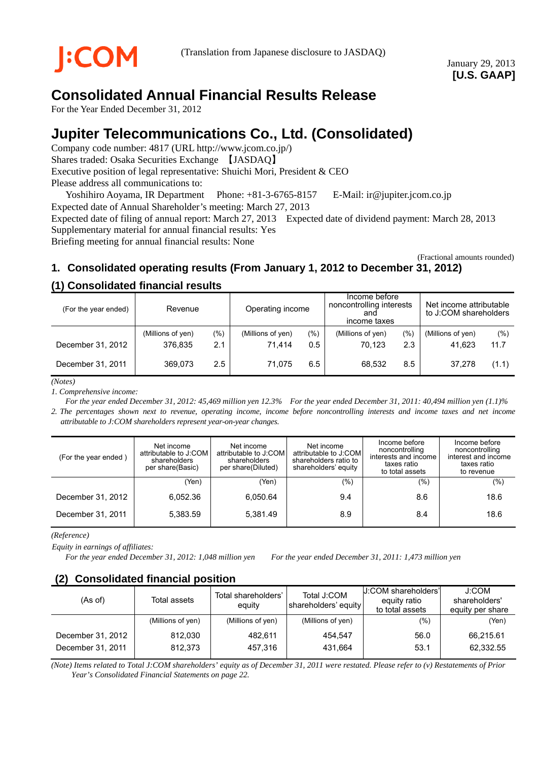# **Consolidated Annual Financial Results Release**

For the Year Ended December 31, 2012

# **Jupiter Telecommunications Co., Ltd. (Consolidated)**

Company code number: 4817 (URL http://www.jcom.co.jp/) Shares traded: Osaka Securities Exchange 【JASDAQ】 Executive position of legal representative: Shuichi Mori, President & CEO Please address all communications to:

Yoshihiro Aoyama, IR Department Phone: +81-3-6765-8157 E-Mail: ir@jupiter.jcom.co.jp Expected date of Annual Shareholder's meeting: March 27, 2013

Expected date of filing of annual report: March 27, 2013 Expected date of dividend payment: March 28, 2013 Supplementary material for annual financial results: Yes

Briefing meeting for annual financial results: None

(Fractional amounts rounded)

# **1. Consolidated operating results (From January 1, 2012 to December 31, 2012)**

### **(1) Consolidated financial results**

| (For the year ended) | Revenue                      |                | Operating income            |                | Income before<br>noncontrolling interests<br>and<br>income taxes |            | Net income attributable<br>to J:COM shareholders |             |
|----------------------|------------------------------|----------------|-----------------------------|----------------|------------------------------------------------------------------|------------|--------------------------------------------------|-------------|
| December 31, 2012    | (Millions of yen)<br>376.835 | $(\% )$<br>2.1 | (Millions of yen)<br>71.414 | $(\% )$<br>0.5 | (Millions of yen)<br>70.123                                      | (%)<br>2.3 | (Millions of yen)<br>41.623                      | (%)<br>11.7 |
| December 31, 2011    | 369.073                      | $2.5^{\circ}$  | 71.075                      | 6.5            | 68.532                                                           | 8.5        | 37.278                                           | (1.1)       |

*(Notes)*

*1. Comprehensive income:* 

*For the year ended December 31, 2012: 45,469 million yen 12.3% For the year ended December 31, 2011: 40,494 million yen (1.1)% 2. The percentages shown next to revenue, operating income, income before noncontrolling interests and income taxes and net income attributable to J:COM shareholders represent year-on-year changes.* 

| (For the year ended) | Net income<br>attributable to J:COM<br>shareholders<br>per share(Basic) | Net income<br>attributable to J:COM<br>shareholders<br>per share(Diluted) | Net income<br>attributable to J:COM<br>shareholders ratio to<br>shareholders' equity | Income before<br>noncontrolling<br>interests and income<br>taxes ratio<br>to total assets | Income before<br>noncontrolling<br>interest and income<br>taxes ratio<br>to revenue |
|----------------------|-------------------------------------------------------------------------|---------------------------------------------------------------------------|--------------------------------------------------------------------------------------|-------------------------------------------------------------------------------------------|-------------------------------------------------------------------------------------|
|                      | (Yen)                                                                   | (Yen)                                                                     | (%)                                                                                  | $(\% )$                                                                                   | $(\% )$                                                                             |
| December 31, 2012    | 6,052.36                                                                | 6.050.64                                                                  | 9.4                                                                                  | 8.6                                                                                       | 18.6                                                                                |
| December 31, 2011    | 5,383.59                                                                | 5,381.49                                                                  | 8.9                                                                                  | 8.4                                                                                       | 18.6                                                                                |

*(Reference)* 

*Equity in earnings of affiliates:* 

*For the year ended December 31, 2012: 1,048 million yen For the year ended December 31, 2011: 1,473 million yen*

### **(2) Consolidated financial position**

| (As of)                                | Total assets       | Total shareholders'<br>equity | Total J:COM<br>shareholders' equity | U:COM shareholders'<br>equity ratio<br>to total assets | J:COM<br>shareholders'<br>equity per share |
|----------------------------------------|--------------------|-------------------------------|-------------------------------------|--------------------------------------------------------|--------------------------------------------|
|                                        | (Millions of yen)  | (Millions of yen)             | (Millions of yen)                   | $(\%)$                                                 | (Yen)                                      |
| December 31, 2012<br>December 31, 2011 | 812.030<br>812.373 | 482.611<br>457.316            | 454.547<br>431.664                  | 56.0<br>53.1                                           | 66,215.61<br>62,332.55                     |

*(Note) Items related to Total J:COM shareholders' equity as of December 31, 2011 were restated. Please refer to (v) Restatements of Prior Year's Consolidated Financial Statements on page 22.*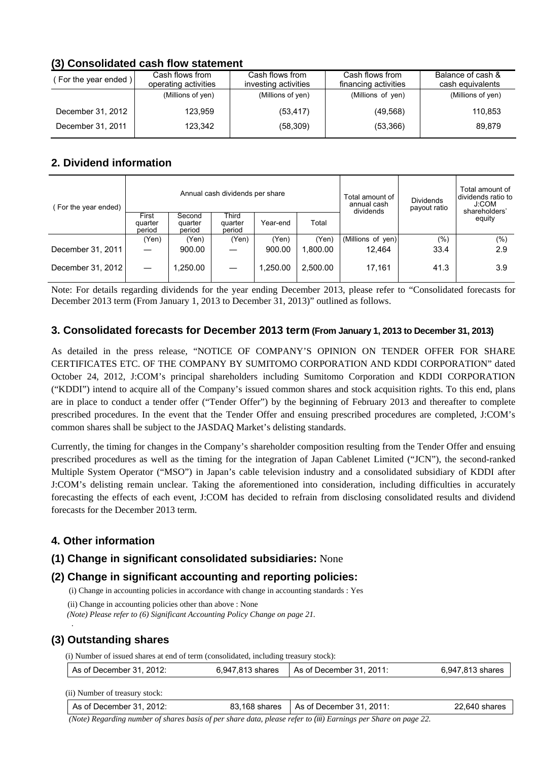## **(3) Consolidated cash flow statement**

| For the year ended) | Cash flows from<br>operating activities | Cash flows from<br>investing activities | Cash flows from<br>financing activities | Balance of cash &<br>cash equivalents |
|---------------------|-----------------------------------------|-----------------------------------------|-----------------------------------------|---------------------------------------|
|                     | (Millions of yen)                       | (Millions of yen)                       | (Millions of yen)                       | (Millions of yen)                     |
| December 31, 2012   | 123.959                                 | (53, 417)                               | (49, 568)                               | 110.853                               |
| December 31, 2011   | 123.342                                 | (58, 309)                               | (53,366)                                | 89.879                                |

## **2. Dividend information**

| For the year ended) |                            |                             | Annual cash dividends per share |          | Total amount of<br>annual cash<br>dividends | <b>Dividends</b><br>payout ratio | Total amount of<br>dividends ratio to<br>J:COM<br>shareholders' |        |
|---------------------|----------------------------|-----------------------------|---------------------------------|----------|---------------------------------------------|----------------------------------|-----------------------------------------------------------------|--------|
|                     | First<br>quarter<br>period | Second<br>quarter<br>period | Third<br>quarter<br>period      | Year-end | Total                                       |                                  |                                                                 | equity |
|                     | (Yen)                      | (Yen)                       | (Yen)                           | (Yen)    | (Yen)                                       | (Millions of yen)                | $(\% )$                                                         | (% )   |
| December 31, 2011   |                            | 900.00                      |                                 | 900.00   | 1.800.00                                    | 12.464                           | 33.4                                                            | 2.9    |
| December 31, 2012   |                            | .250.00                     |                                 | 1.250.00 | 2.500.00                                    | 17.161                           | 41.3                                                            | 3.9    |

Note: For details regarding dividends for the year ending December 2013, please refer to "Consolidated forecasts for December 2013 term (From January 1, 2013 to December 31, 2013)" outlined as follows.

### **3. Consolidated forecasts for December 2013 term (From January 1, 2013 to December 31, 2013)**

As detailed in the press release, "NOTICE OF COMPANY'S OPINION ON TENDER OFFER FOR SHARE CERTIFICATES ETC. OF THE COMPANY BY SUMITOMO CORPORATION AND KDDI CORPORATION" dated October 24, 2012, J:COM's principal shareholders including Sumitomo Corporation and KDDI CORPORATION ("KDDI") intend to acquire all of the Company's issued common shares and stock acquisition rights. To this end, plans are in place to conduct a tender offer ("Tender Offer") by the beginning of February 2013 and thereafter to complete prescribed procedures. In the event that the Tender Offer and ensuing prescribed procedures are completed, J:COM's common shares shall be subject to the JASDAQ Market's delisting standards.

Currently, the timing for changes in the Company's shareholder composition resulting from the Tender Offer and ensuing prescribed procedures as well as the timing for the integration of Japan Cablenet Limited ("JCN"), the second-ranked Multiple System Operator ("MSO") in Japan's cable television industry and a consolidated subsidiary of KDDI after J:COM's delisting remain unclear. Taking the aforementioned into consideration, including difficulties in accurately forecasting the effects of each event, J:COM has decided to refrain from disclosing consolidated results and dividend forecasts for the December 2013 term.

## **4. Other information**

### **(1) Change in significant consolidated subsidiaries:** None

## **(2) Change in significant accounting and reporting policies:**

(i) Change in accounting policies in accordance with change in accounting standards : Yes

(ii) Change in accounting policies other than above : None

*(Note) Please refer to (6) Significant Accounting Policy Change on page 21.*

## **(3) Outstanding shares**

 *.*

(i) Number of issued shares at end of term (consolidated, including treasury stock):

| 6,947,813 shares   As of December 31, 2011: | As of December 31, 2012: |  |  | 6,947,813 shares |
|---------------------------------------------|--------------------------|--|--|------------------|
|---------------------------------------------|--------------------------|--|--|------------------|

(ii) Number of treasury stock:

| As of December 31, 2012: | 83,168 shares   As of December 31, 2011: | 22,640 shares |
|--------------------------|------------------------------------------|---------------|

 *(Note) Regarding number of shares basis of per share data, please refer to (iii) Earnings per Share on page 22.*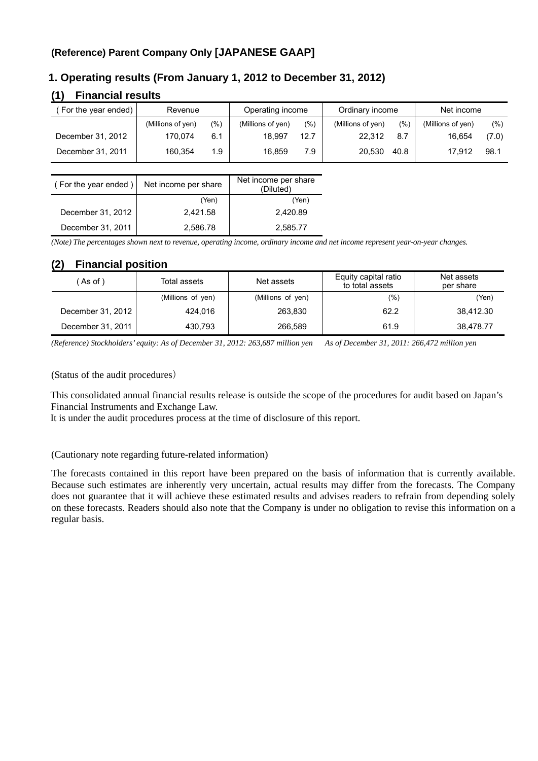# **(Reference) Parent Company Only [JAPANESE GAAP]**

### **1. Operating results (From January 1, 2012 to December 31, 2012)**

### **(1) Financial results**

| For the year ended) | Revenue           |     | Operating income  |       | Ordinary income   |      | Net income        |        |
|---------------------|-------------------|-----|-------------------|-------|-------------------|------|-------------------|--------|
|                     | (Millions of yen) | (%) | (Millions of yen) | (9/6) | (Millions of yen) | (% ) | (Millions of yen) | $(\%)$ |
| December 31, 2012   | 170.074           | 6.1 | 18.997            | 12.7  | 22.312            | 8.7  | 16.654            | (7.0)  |
| December 31, 2011   | 160.354           | 1.9 | 16.859            | 7.9   | 20.530            | 40.8 | 17.912            | 98.1   |

| (For the year ended) | Net income per share | Net income per share<br>(Diluted) |  |
|----------------------|----------------------|-----------------------------------|--|
|                      | (Yen)                | (Yen)                             |  |
| December 31, 2012    | 2,421.58             | 2,420.89                          |  |
| December 31, 2011    | 2,586.78             | 2.585.77                          |  |

*(Note) The percentages shown next to revenue, operating income, ordinary income and net income represent year-on-year changes.* 

### **(2) Financial position**

| (As of)           | Total assets      | Net assets        | Equity capital ratio<br>to total assets | Net assets<br>per share |
|-------------------|-------------------|-------------------|-----------------------------------------|-------------------------|
|                   | (Millions of yen) | (Millions of yen) | (%)                                     | (Yen)                   |
| December 31, 2012 | 424.016           | 263,830           | 62.2                                    | 38.412.30               |
| December 31, 2011 | 430.793           | 266,589           | 61.9                                    | 38,478.77               |

*(Reference) Stockholders' equity: As of December 31, 2012: 263,687 million yen As of December 31, 2011: 266,472 million yen* 

(Status of the audit procedures)

This consolidated annual financial results release is outside the scope of the procedures for audit based on Japan's Financial Instruments and Exchange Law.

It is under the audit procedures process at the time of disclosure of this report.

#### (Cautionary note regarding future-related information)

The forecasts contained in this report have been prepared on the basis of information that is currently available. Because such estimates are inherently very uncertain, actual results may differ from the forecasts. The Company does not guarantee that it will achieve these estimated results and advises readers to refrain from depending solely on these forecasts. Readers should also note that the Company is under no obligation to revise this information on a regular basis.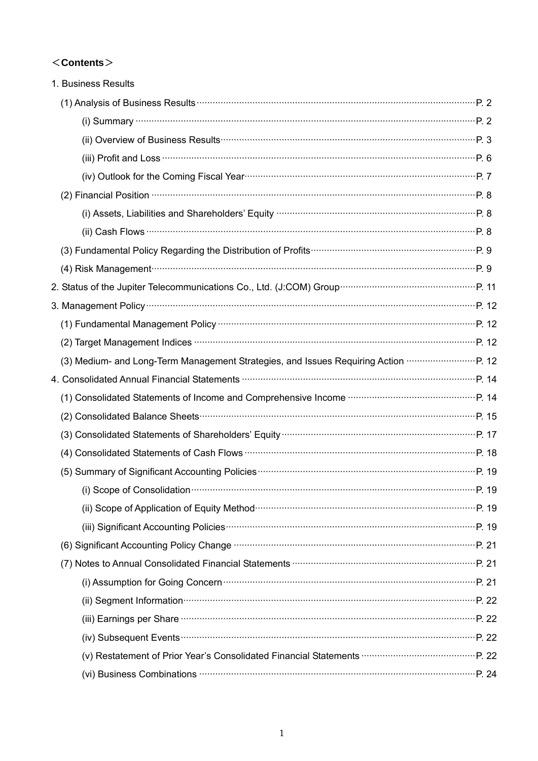# $<$ Contents $>$

| 1. Business Results                                                                                                                                                                                                                  |  |
|--------------------------------------------------------------------------------------------------------------------------------------------------------------------------------------------------------------------------------------|--|
|                                                                                                                                                                                                                                      |  |
| (i) Summary $\cdots$ P. 2                                                                                                                                                                                                            |  |
|                                                                                                                                                                                                                                      |  |
| (iii) Profit and Loss <b>CONSTREY CONSTREY</b> 6                                                                                                                                                                                     |  |
| (iv) Outlook for the Coming Fiscal Year manufactured and the community P. 7                                                                                                                                                          |  |
| (2) Financial Position <b>Construction</b> P. 8                                                                                                                                                                                      |  |
|                                                                                                                                                                                                                                      |  |
|                                                                                                                                                                                                                                      |  |
|                                                                                                                                                                                                                                      |  |
|                                                                                                                                                                                                                                      |  |
|                                                                                                                                                                                                                                      |  |
|                                                                                                                                                                                                                                      |  |
|                                                                                                                                                                                                                                      |  |
| (2) Target Management Indices <b>With Construction Construction</b> P. 12                                                                                                                                                            |  |
| (3) Medium- and Long-Term Management Strategies, and Issues Requiring Action <b></b> P. 12                                                                                                                                           |  |
|                                                                                                                                                                                                                                      |  |
|                                                                                                                                                                                                                                      |  |
|                                                                                                                                                                                                                                      |  |
|                                                                                                                                                                                                                                      |  |
|                                                                                                                                                                                                                                      |  |
|                                                                                                                                                                                                                                      |  |
|                                                                                                                                                                                                                                      |  |
|                                                                                                                                                                                                                                      |  |
|                                                                                                                                                                                                                                      |  |
|                                                                                                                                                                                                                                      |  |
|                                                                                                                                                                                                                                      |  |
|                                                                                                                                                                                                                                      |  |
|                                                                                                                                                                                                                                      |  |
| (iii) Earnings per Share <b>Constanting Constanting Constanting Constanting Constanting Constanting Constanting Constanting Constanting Constanting Constanting Constanting Constanting Constanting Constanting Constanting Cons</b> |  |
|                                                                                                                                                                                                                                      |  |
|                                                                                                                                                                                                                                      |  |
| (vi) Business Combinations <b>manufactures</b> (vi) Business Combinations <b>manufactures</b> (vi) Business Combinations <b>manufactures</b>                                                                                         |  |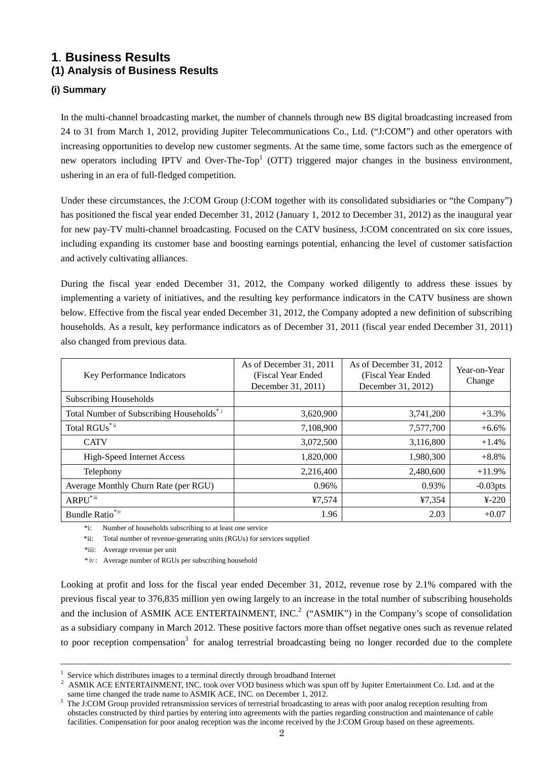# **1**. **Business Results (1) Analysis of Business Results**

### **(i) Summary**

In the multi-channel broadcasting market, the number of channels through new BS digital broadcasting increased from 24 to 31 from March 1, 2012, providing Jupiter Telecommunications Co., Ltd. ("J:COM") and other operators with increasing opportunities to develop new customer segments. At the same time, some factors such as the emergence of new operators including IPTV and Over-The-Top<sup>1</sup> (OTT) triggered major changes in the business environment, ushering in an era of full-fledged competition.

Under these circumstances, the J:COM Group (J:COM together with its consolidated subsidiaries or "the Company") has positioned the fiscal year ended December 31, 2012 (January 1, 2012 to December 31, 2012) as the inaugural year for new pay-TV multi-channel broadcasting. Focused on the CATV business, J:COM concentrated on six core issues, including expanding its customer base and boosting earnings potential, enhancing the level of customer satisfaction and actively cultivating alliances.

During the fiscal year ended December 31, 2012, the Company worked diligently to address these issues by implementing a variety of initiatives, and the resulting key performance indicators in the CATV business are shown below. Effective from the fiscal year ended December 31, 2012, the Company adopted a new definition of subscribing households. As a result, key performance indicators as of December 31, 2011 (fiscal year ended December 31, 2011) also changed from previous data.

| <b>Key Performance Indicators</b>                     | As of December 31, 2011<br>(Fiscal Year Ended)<br>December 31, 2011) | As of December 31, 2012<br>(Fiscal Year Ended)<br>December 31, 2012) | Year-on-Year<br>Change |
|-------------------------------------------------------|----------------------------------------------------------------------|----------------------------------------------------------------------|------------------------|
| <b>Subscribing Households</b>                         |                                                                      |                                                                      |                        |
| Total Number of Subscribing Households <sup>* i</sup> | 3,620,900                                                            | 3,741,200                                                            | $+3.3%$                |
| Total RGUs <sup>*ii</sup>                             | 7,108,900                                                            | 7,577,700                                                            | $+6.6%$                |
| <b>CATV</b>                                           | 3,072,500                                                            | 3,116,800                                                            | $+1.4%$                |
| <b>High-Speed Internet Access</b>                     | 1,820,000                                                            | 1,980,300                                                            | $+8.8%$                |
| Telephony                                             | 2,216,400                                                            | 2,480,600                                                            | $+11.9%$               |
| Average Monthly Churn Rate (per RGU)                  | 0.96%                                                                | 0.93%                                                                | $-0.03$ pts            |
| ARPU <sup>*iii</sup>                                  | ¥7,574                                                               | ¥7,354                                                               | $4-220$                |
| Bundle Ratio <sup>*iv</sup>                           | 1.96                                                                 | 2.03                                                                 | $+0.07$                |

\*i: Number of households subscribing to at least one service

\*ii: Total number of revenue-generating units (RGUs) for services supplied

\*iii: Average revenue per unit

\*ⅳ: Average number of RGUs per subscribing household

Looking at profit and loss for the fiscal year ended December 31, 2012, revenue rose by 2.1% compared with the previous fiscal year to 376,835 million yen owing largely to an increase in the total number of subscribing households and the inclusion of ASMIK ACE ENTERTAINMENT, INC.<sup>2</sup> ("ASMIK") in the Company's scope of consolidation as a subsidiary company in March 2012. These positive factors more than offset negative ones such as revenue related to poor reception compensation<sup>3</sup> for analog terrestrial broadcasting being no longer recorded due to the complete

\_\_\_\_\_\_\_\_\_\_\_\_\_\_\_\_\_\_\_\_\_\_\_\_\_\_\_\_\_\_\_\_\_\_\_\_\_\_\_\_\_\_\_\_\_\_\_\_\_\_\_\_\_\_\_\_\_\_\_\_\_\_\_\_\_\_\_\_\_\_\_\_\_\_\_\_\_\_\_\_\_\_\_\_\_\_\_\_\_\_\_\_\_\_\_

<sup>1</sup>

<sup>&</sup>lt;sup>1</sup> Service which distributes images to a terminal directly through broadband Internet  $\frac{2}{3}$  ASMIK ACE ENTERTAINMENT, INC. took over VOD business which was spun off by Jupiter Entertainment Co. Ltd. and at the same time changed the trade name to ASMIK ACE, INC. on December 1, 2012.

The J:COM Group provided retransmission services of terrestrial broadcasting to areas with poor analog reception resulting from obstacles constructed by third parties by entering into agreements with the parties regarding construction and maintenance of cable facilities. Compensation for poor analog reception was the income received by the J:COM Group based on these agreements.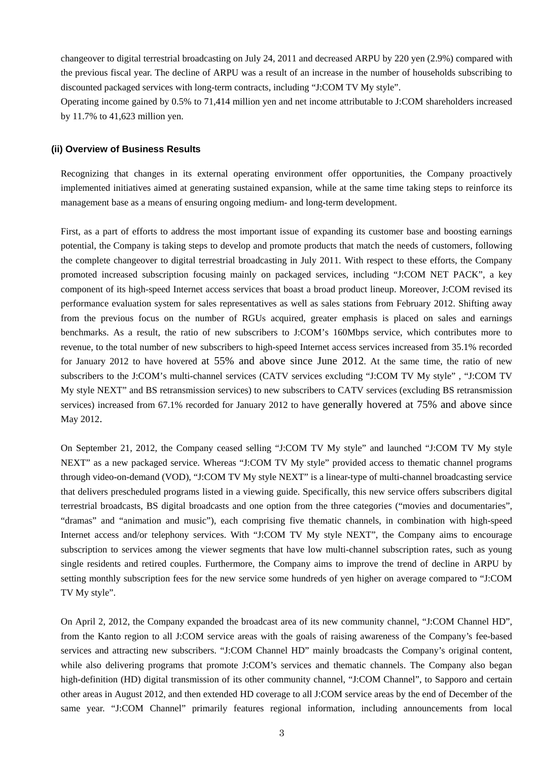changeover to digital terrestrial broadcasting on July 24, 2011 and decreased ARPU by 220 yen (2.9%) compared with the previous fiscal year. The decline of ARPU was a result of an increase in the number of households subscribing to discounted packaged services with long-term contracts, including "J:COM TV My style".

Operating income gained by 0.5% to 71,414 million yen and net income attributable to J:COM shareholders increased by 11.7% to 41,623 million yen.

#### **(ii) Overview of Business Results**

Recognizing that changes in its external operating environment offer opportunities, the Company proactively implemented initiatives aimed at generating sustained expansion, while at the same time taking steps to reinforce its management base as a means of ensuring ongoing medium- and long-term development.

First, as a part of efforts to address the most important issue of expanding its customer base and boosting earnings potential, the Company is taking steps to develop and promote products that match the needs of customers, following the complete changeover to digital terrestrial broadcasting in July 2011. With respect to these efforts, the Company promoted increased subscription focusing mainly on packaged services, including "J:COM NET PACK", a key component of its high-speed Internet access services that boast a broad product lineup. Moreover, J:COM revised its performance evaluation system for sales representatives as well as sales stations from February 2012. Shifting away from the previous focus on the number of RGUs acquired, greater emphasis is placed on sales and earnings benchmarks. As a result, the ratio of new subscribers to J:COM's 160Mbps service, which contributes more to revenue, to the total number of new subscribers to high-speed Internet access services increased from 35.1% recorded for January 2012 to have hovered at 55% and above since June 2012. At the same time, the ratio of new subscribers to the J:COM's multi-channel services (CATV services excluding "J:COM TV My style" , "J:COM TV My style NEXT" and BS retransmission services) to new subscribers to CATV services (excluding BS retransmission services) increased from 67.1% recorded for January 2012 to have generally hovered at 75% and above since May 2012.

On September 21, 2012, the Company ceased selling "J:COM TV My style" and launched "J:COM TV My style NEXT" as a new packaged service. Whereas "J:COM TV My style" provided access to thematic channel programs through video-on-demand (VOD), "J:COM TV My style NEXT" is a linear-type of multi-channel broadcasting service that delivers prescheduled programs listed in a viewing guide. Specifically, this new service offers subscribers digital terrestrial broadcasts, BS digital broadcasts and one option from the three categories ("movies and documentaries", "dramas" and "animation and music"), each comprising five thematic channels, in combination with high-speed Internet access and/or telephony services. With "J:COM TV My style NEXT", the Company aims to encourage subscription to services among the viewer segments that have low multi-channel subscription rates, such as young single residents and retired couples. Furthermore, the Company aims to improve the trend of decline in ARPU by setting monthly subscription fees for the new service some hundreds of yen higher on average compared to "J:COM TV My style".

On April 2, 2012, the Company expanded the broadcast area of its new community channel, "J:COM Channel HD", from the Kanto region to all J:COM service areas with the goals of raising awareness of the Company's fee-based services and attracting new subscribers. "J:COM Channel HD" mainly broadcasts the Company's original content, while also delivering programs that promote J:COM's services and thematic channels. The Company also began high-definition (HD) digital transmission of its other community channel, "J:COM Channel", to Sapporo and certain other areas in August 2012, and then extended HD coverage to all J:COM service areas by the end of December of the same year. "J:COM Channel" primarily features regional information, including announcements from local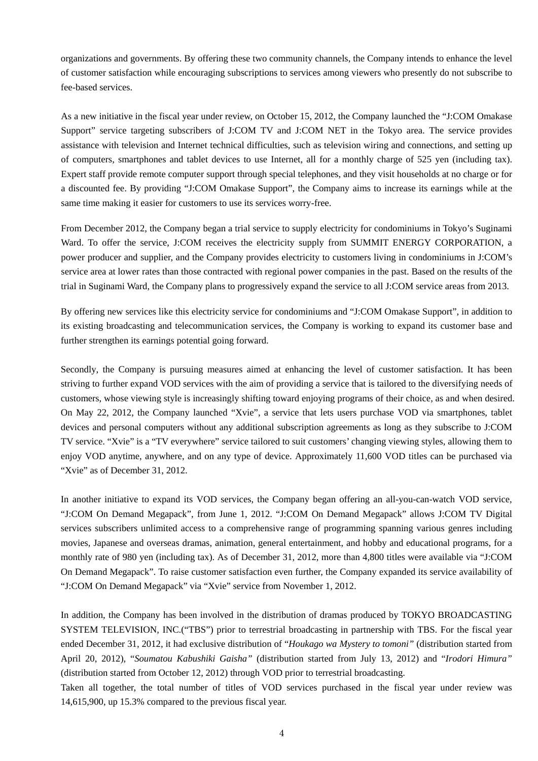organizations and governments. By offering these two community channels, the Company intends to enhance the level of customer satisfaction while encouraging subscriptions to services among viewers who presently do not subscribe to fee-based services.

As a new initiative in the fiscal year under review, on October 15, 2012, the Company launched the "J:COM Omakase Support" service targeting subscribers of J:COM TV and J:COM NET in the Tokyo area. The service provides assistance with television and Internet technical difficulties, such as television wiring and connections, and setting up of computers, smartphones and tablet devices to use Internet, all for a monthly charge of 525 yen (including tax). Expert staff provide remote computer support through special telephones, and they visit households at no charge or for a discounted fee. By providing "J:COM Omakase Support", the Company aims to increase its earnings while at the same time making it easier for customers to use its services worry-free.

From December 2012, the Company began a trial service to supply electricity for condominiums in Tokyo's Suginami Ward. To offer the service, J:COM receives the electricity supply from SUMMIT ENERGY CORPORATION, a power producer and supplier, and the Company provides electricity to customers living in condominiums in J:COM's service area at lower rates than those contracted with regional power companies in the past. Based on the results of the trial in Suginami Ward, the Company plans to progressively expand the service to all J:COM service areas from 2013.

By offering new services like this electricity service for condominiums and "J:COM Omakase Support", in addition to its existing broadcasting and telecommunication services, the Company is working to expand its customer base and further strengthen its earnings potential going forward.

Secondly, the Company is pursuing measures aimed at enhancing the level of customer satisfaction. It has been striving to further expand VOD services with the aim of providing a service that is tailored to the diversifying needs of customers, whose viewing style is increasingly shifting toward enjoying programs of their choice, as and when desired. On May 22, 2012, the Company launched "Xvie", a service that lets users purchase VOD via smartphones, tablet devices and personal computers without any additional subscription agreements as long as they subscribe to J:COM TV service. "Xvie" is a "TV everywhere" service tailored to suit customers' changing viewing styles, allowing them to enjoy VOD anytime, anywhere, and on any type of device. Approximately 11,600 VOD titles can be purchased via "Xvie" as of December 31, 2012.

In another initiative to expand its VOD services, the Company began offering an all-you-can-watch VOD service, "J:COM On Demand Megapack", from June 1, 2012. "J:COM On Demand Megapack" allows J:COM TV Digital services subscribers unlimited access to a comprehensive range of programming spanning various genres including movies, Japanese and overseas dramas, animation, general entertainment, and hobby and educational programs, for a monthly rate of 980 yen (including tax). As of December 31, 2012, more than 4,800 titles were available via "J:COM On Demand Megapack". To raise customer satisfaction even further, the Company expanded its service availability of "J:COM On Demand Megapack" via "Xvie" service from November 1, 2012.

In addition, the Company has been involved in the distribution of dramas produced by TOKYO BROADCASTING SYSTEM TELEVISION, INC.("TBS") prior to terrestrial broadcasting in partnership with TBS. For the fiscal year ended December 31, 2012, it had exclusive distribution of "*Houkago wa Mystery to tomoni"* (distribution started from April 20, 2012), "*Soumatou Kabushiki Gaisha"* (distribution started from July 13, 2012) and "*Irodori Himura"* (distribution started from October 12, 2012) through VOD prior to terrestrial broadcasting.

Taken all together, the total number of titles of VOD services purchased in the fiscal year under review was 14,615,900, up 15.3% compared to the previous fiscal year.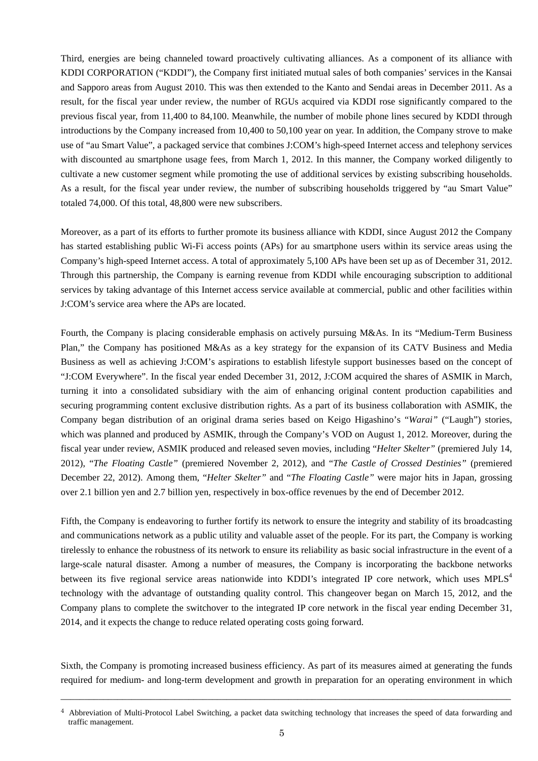Third, energies are being channeled toward proactively cultivating alliances. As a component of its alliance with KDDI CORPORATION ("KDDI"), the Company first initiated mutual sales of both companies' services in the Kansai and Sapporo areas from August 2010. This was then extended to the Kanto and Sendai areas in December 2011. As a result, for the fiscal year under review, the number of RGUs acquired via KDDI rose significantly compared to the previous fiscal year, from 11,400 to 84,100. Meanwhile, the number of mobile phone lines secured by KDDI through introductions by the Company increased from 10,400 to 50,100 year on year. In addition, the Company strove to make use of "au Smart Value", a packaged service that combines J:COM's high-speed Internet access and telephony services with discounted au smartphone usage fees, from March 1, 2012. In this manner, the Company worked diligently to cultivate a new customer segment while promoting the use of additional services by existing subscribing households. As a result, for the fiscal year under review, the number of subscribing households triggered by "au Smart Value" totaled 74,000. Of this total, 48,800 were new subscribers.

Moreover, as a part of its efforts to further promote its business alliance with KDDI, since August 2012 the Company has started establishing public Wi-Fi access points (APs) for au smartphone users within its service areas using the Company's high-speed Internet access. A total of approximately 5,100 APs have been set up as of December 31, 2012. Through this partnership, the Company is earning revenue from KDDI while encouraging subscription to additional services by taking advantage of this Internet access service available at commercial, public and other facilities within J:COM's service area where the APs are located.

Fourth, the Company is placing considerable emphasis on actively pursuing M&As. In its "Medium-Term Business Plan," the Company has positioned M&As as a key strategy for the expansion of its CATV Business and Media Business as well as achieving J:COM's aspirations to establish lifestyle support businesses based on the concept of "J:COM Everywhere". In the fiscal year ended December 31, 2012, J:COM acquired the shares of ASMIK in March, turning it into a consolidated subsidiary with the aim of enhancing original content production capabilities and securing programming content exclusive distribution rights. As a part of its business collaboration with ASMIK, the Company began distribution of an original drama series based on Keigo Higashino's "*Warai"* ("Laugh") stories, which was planned and produced by ASMIK, through the Company's VOD on August 1, 2012. Moreover, during the fiscal year under review, ASMIK produced and released seven movies, including "*Helter Skelter"* (premiered July 14, 2012), "*The Floating Castle"* (premiered November 2, 2012), and "*The Castle of Crossed Destinies"* (premiered December 22, 2012). Among them, "*Helter Skelter"* and "*The Floating Castle"* were major hits in Japan, grossing over 2.1 billion yen and 2.7 billion yen, respectively in box-office revenues by the end of December 2012.

Fifth, the Company is endeavoring to further fortify its network to ensure the integrity and stability of its broadcasting and communications network as a public utility and valuable asset of the people. For its part, the Company is working tirelessly to enhance the robustness of its network to ensure its reliability as basic social infrastructure in the event of a large-scale natural disaster. Among a number of measures, the Company is incorporating the backbone networks between its five regional service areas nationwide into KDDI's integrated IP core network, which uses  $MPLS<sup>4</sup>$ technology with the advantage of outstanding quality control. This changeover began on March 15, 2012, and the Company plans to complete the switchover to the integrated IP core network in the fiscal year ending December 31, 2014, and it expects the change to reduce related operating costs going forward.

Sixth, the Company is promoting increased business efficiency. As part of its measures aimed at generating the funds required for medium- and long-term development and growth in preparation for an operating environment in which

\_\_\_\_\_\_\_\_\_\_\_\_\_\_\_\_\_\_\_\_\_\_\_\_\_\_\_\_\_\_\_\_\_\_\_\_\_\_\_\_\_\_\_\_\_\_\_\_\_\_\_\_\_\_\_\_\_\_\_\_\_\_\_\_\_\_\_\_\_\_\_\_\_\_\_\_\_\_\_\_\_\_\_\_\_\_\_\_\_\_\_\_\_\_\_

<sup>4</sup> Abbreviation of Multi-Protocol Label Switching, a packet data switching technology that increases the speed of data forwarding and traffic management.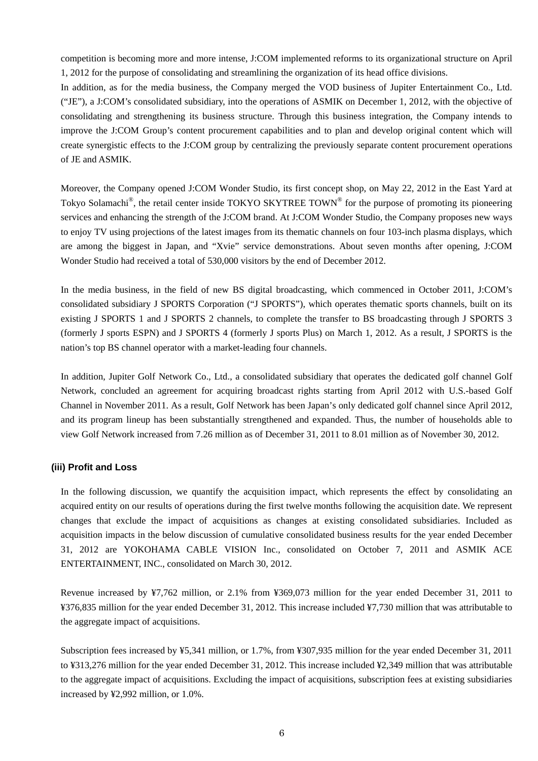competition is becoming more and more intense, J:COM implemented reforms to its organizational structure on April 1, 2012 for the purpose of consolidating and streamlining the organization of its head office divisions.

In addition, as for the media business, the Company merged the VOD business of Jupiter Entertainment Co., Ltd. ("JE"), a J:COM's consolidated subsidiary, into the operations of ASMIK on December 1, 2012, with the objective of consolidating and strengthening its business structure. Through this business integration, the Company intends to improve the J:COM Group's content procurement capabilities and to plan and develop original content which will create synergistic effects to the J:COM group by centralizing the previously separate content procurement operations of JE and ASMIK.

Moreover, the Company opened J:COM Wonder Studio, its first concept shop, on May 22, 2012 in the East Yard at Tokyo Solamachi<sup>®</sup>, the retail center inside TOKYO SKYTREE TOWN<sup>®</sup> for the purpose of promoting its pioneering services and enhancing the strength of the J:COM brand. At J:COM Wonder Studio, the Company proposes new ways to enjoy TV using projections of the latest images from its thematic channels on four 103-inch plasma displays, which are among the biggest in Japan, and "Xvie" service demonstrations. About seven months after opening, J:COM Wonder Studio had received a total of 530,000 visitors by the end of December 2012.

In the media business, in the field of new BS digital broadcasting, which commenced in October 2011, J:COM's consolidated subsidiary J SPORTS Corporation ("J SPORTS"), which operates thematic sports channels, built on its existing J SPORTS 1 and J SPORTS 2 channels, to complete the transfer to BS broadcasting through J SPORTS 3 (formerly J sports ESPN) and J SPORTS 4 (formerly J sports Plus) on March 1, 2012. As a result, J SPORTS is the nation's top BS channel operator with a market-leading four channels.

In addition, Jupiter Golf Network Co., Ltd., a consolidated subsidiary that operates the dedicated golf channel Golf Network, concluded an agreement for acquiring broadcast rights starting from April 2012 with U.S.-based Golf Channel in November 2011. As a result, Golf Network has been Japan's only dedicated golf channel since April 2012, and its program lineup has been substantially strengthened and expanded. Thus, the number of households able to view Golf Network increased from 7.26 million as of December 31, 2011 to 8.01 million as of November 30, 2012.

#### **(iii) Profit and Loss**

In the following discussion, we quantify the acquisition impact, which represents the effect by consolidating an acquired entity on our results of operations during the first twelve months following the acquisition date. We represent changes that exclude the impact of acquisitions as changes at existing consolidated subsidiaries. Included as acquisition impacts in the below discussion of cumulative consolidated business results for the year ended December 31, 2012 are YOKOHAMA CABLE VISION Inc., consolidated on October 7, 2011 and ASMIK ACE ENTERTAINMENT, INC., consolidated on March 30, 2012.

Revenue increased by ¥7,762 million, or 2.1% from ¥369,073 million for the year ended December 31, 2011 to ¥376,835 million for the year ended December 31, 2012. This increase included ¥7,730 million that was attributable to the aggregate impact of acquisitions.

Subscription fees increased by ¥5,341 million, or 1.7%, from ¥307,935 million for the year ended December 31, 2011 to ¥313,276 million for the year ended December 31, 2012. This increase included ¥2,349 million that was attributable to the aggregate impact of acquisitions. Excluding the impact of acquisitions, subscription fees at existing subsidiaries increased by ¥2,992 million, or 1.0%.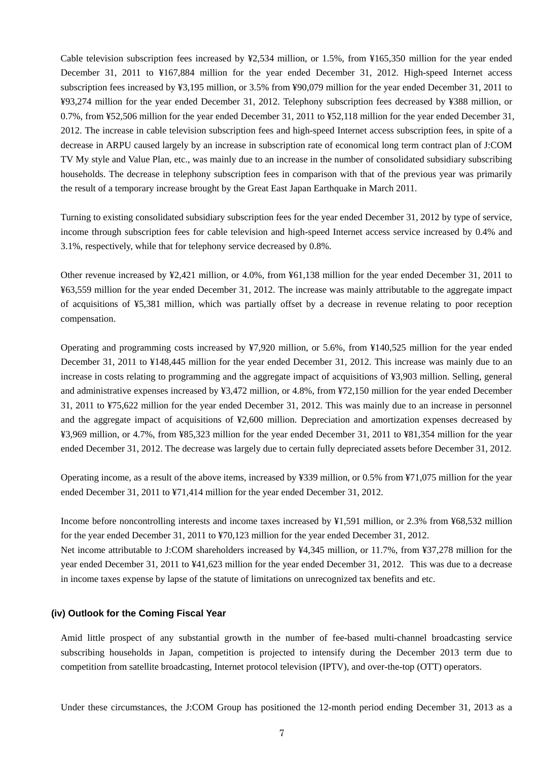Cable television subscription fees increased by ¥2,534 million, or 1.5%, from ¥165,350 million for the year ended December 31, 2011 to ¥167,884 million for the year ended December 31, 2012. High-speed Internet access subscription fees increased by ¥3,195 million, or 3.5% from ¥90,079 million for the year ended December 31, 2011 to ¥93,274 million for the year ended December 31, 2012. Telephony subscription fees decreased by ¥388 million, or 0.7%, from ¥52,506 million for the year ended December 31, 2011 to ¥52,118 million for the year ended December 31, 2012. The increase in cable television subscription fees and high-speed Internet access subscription fees, in spite of a decrease in ARPU caused largely by an increase in subscription rate of economical long term contract plan of J:COM TV My style and Value Plan, etc., was mainly due to an increase in the number of consolidated subsidiary subscribing households. The decrease in telephony subscription fees in comparison with that of the previous year was primarily the result of a temporary increase brought by the Great East Japan Earthquake in March 2011.

Turning to existing consolidated subsidiary subscription fees for the year ended December 31, 2012 by type of service, income through subscription fees for cable television and high-speed Internet access service increased by 0.4% and 3.1%, respectively, while that for telephony service decreased by 0.8%.

Other revenue increased by ¥2,421 million, or 4.0%, from ¥61,138 million for the year ended December 31, 2011 to ¥63,559 million for the year ended December 31, 2012. The increase was mainly attributable to the aggregate impact of acquisitions of ¥5,381 million, which was partially offset by a decrease in revenue relating to poor reception compensation.

Operating and programming costs increased by ¥7,920 million, or 5.6%, from ¥140,525 million for the year ended December 31, 2011 to ¥148,445 million for the year ended December 31, 2012. This increase was mainly due to an increase in costs relating to programming and the aggregate impact of acquisitions of ¥3,903 million. Selling, general and administrative expenses increased by ¥3,472 million, or 4.8%, from ¥72,150 million for the year ended December 31, 2011 to ¥75,622 million for the year ended December 31, 2012. This was mainly due to an increase in personnel and the aggregate impact of acquisitions of ¥2,600 million. Depreciation and amortization expenses decreased by ¥3,969 million, or 4.7%, from ¥85,323 million for the year ended December 31, 2011 to ¥81,354 million for the year ended December 31, 2012. The decrease was largely due to certain fully depreciated assets before December 31, 2012.

Operating income, as a result of the above items, increased by ¥339 million, or 0.5% from ¥71,075 million for the year ended December 31, 2011 to ¥71,414 million for the year ended December 31, 2012.

Income before noncontrolling interests and income taxes increased by ¥1,591 million, or 2.3% from ¥68,532 million for the year ended December 31, 2011 to ¥70,123 million for the year ended December 31, 2012. Net income attributable to J:COM shareholders increased by ¥4,345 million, or 11.7%, from ¥37,278 million for the year ended December 31, 2011 to ¥41,623 million for the year ended December 31, 2012. This was due to a decrease in income taxes expense by lapse of the statute of limitations on unrecognized tax benefits and etc.

#### **(iv) Outlook for the Coming Fiscal Year**

Amid little prospect of any substantial growth in the number of fee-based multi-channel broadcasting service subscribing households in Japan, competition is projected to intensify during the December 2013 term due to competition from satellite broadcasting, Internet protocol television (IPTV), and over-the-top (OTT) operators.

Under these circumstances, the J:COM Group has positioned the 12-month period ending December 31, 2013 as a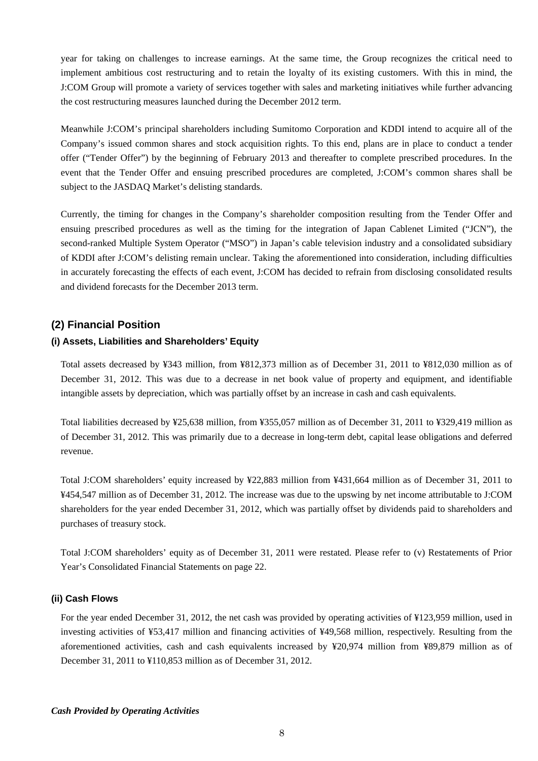year for taking on challenges to increase earnings. At the same time, the Group recognizes the critical need to implement ambitious cost restructuring and to retain the loyalty of its existing customers. With this in mind, the J:COM Group will promote a variety of services together with sales and marketing initiatives while further advancing the cost restructuring measures launched during the December 2012 term.

Meanwhile J:COM's principal shareholders including Sumitomo Corporation and KDDI intend to acquire all of the Company's issued common shares and stock acquisition rights. To this end, plans are in place to conduct a tender offer ("Tender Offer") by the beginning of February 2013 and thereafter to complete prescribed procedures. In the event that the Tender Offer and ensuing prescribed procedures are completed, J:COM's common shares shall be subject to the JASDAQ Market's delisting standards.

Currently, the timing for changes in the Company's shareholder composition resulting from the Tender Offer and ensuing prescribed procedures as well as the timing for the integration of Japan Cablenet Limited ("JCN"), the second-ranked Multiple System Operator ("MSO") in Japan's cable television industry and a consolidated subsidiary of KDDI after J:COM's delisting remain unclear. Taking the aforementioned into consideration, including difficulties in accurately forecasting the effects of each event, J:COM has decided to refrain from disclosing consolidated results and dividend forecasts for the December 2013 term.

### **(2) Financial Position**

#### **(i) Assets, Liabilities and Shareholders' Equity**

Total assets decreased by ¥343 million, from ¥812,373 million as of December 31, 2011 to ¥812,030 million as of December 31, 2012. This was due to a decrease in net book value of property and equipment, and identifiable intangible assets by depreciation, which was partially offset by an increase in cash and cash equivalents.

Total liabilities decreased by ¥25,638 million, from ¥355,057 million as of December 31, 2011 to ¥329,419 million as of December 31, 2012. This was primarily due to a decrease in long-term debt, capital lease obligations and deferred revenue.

Total J:COM shareholders' equity increased by ¥22,883 million from ¥431,664 million as of December 31, 2011 to ¥454,547 million as of December 31, 2012. The increase was due to the upswing by net income attributable to J:COM shareholders for the year ended December 31, 2012, which was partially offset by dividends paid to shareholders and purchases of treasury stock.

Total J:COM shareholders' equity as of December 31, 2011 were restated. Please refer to (v) Restatements of Prior Year's Consolidated Financial Statements on page 22.

#### **(ii) Cash Flows**

For the year ended December 31, 2012, the net cash was provided by operating activities of ¥123,959 million, used in investing activities of ¥53,417 million and financing activities of ¥49,568 million, respectively. Resulting from the aforementioned activities, cash and cash equivalents increased by ¥20,974 million from ¥89,879 million as of December 31, 2011 to ¥110,853 million as of December 31, 2012.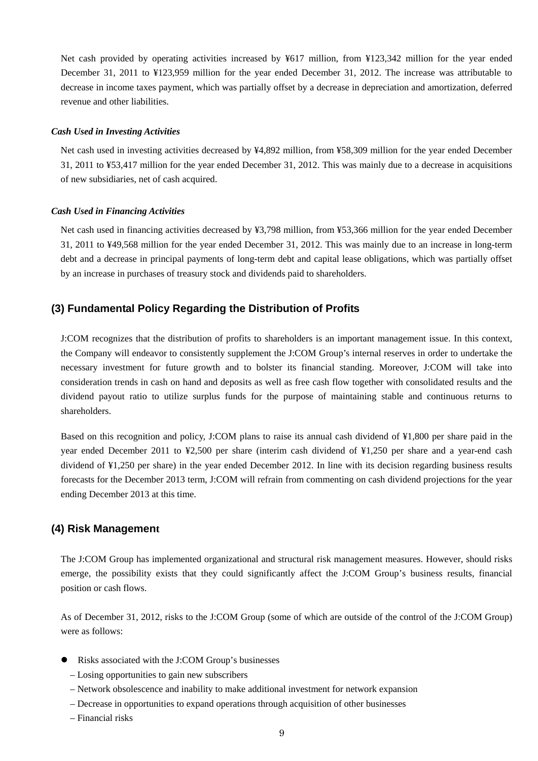Net cash provided by operating activities increased by ¥617 million, from ¥123,342 million for the year ended December 31, 2011 to ¥123,959 million for the year ended December 31, 2012. The increase was attributable to decrease in income taxes payment, which was partially offset by a decrease in depreciation and amortization, deferred revenue and other liabilities.

#### *Cash Used in Investing Activities*

Net cash used in investing activities decreased by ¥4,892 million, from ¥58,309 million for the year ended December 31, 2011 to ¥53,417 million for the year ended December 31, 2012. This was mainly due to a decrease in acquisitions of new subsidiaries, net of cash acquired.

#### *Cash Used in Financing Activities*

Net cash used in financing activities decreased by ¥3,798 million, from ¥53,366 million for the year ended December 31, 2011 to ¥49,568 million for the year ended December 31, 2012. This was mainly due to an increase in long-term debt and a decrease in principal payments of long-term debt and capital lease obligations, which was partially offset by an increase in purchases of treasury stock and dividends paid to shareholders.

### **(3) Fundamental Policy Regarding the Distribution of Profits**

J:COM recognizes that the distribution of profits to shareholders is an important management issue. In this context, the Company will endeavor to consistently supplement the J:COM Group's internal reserves in order to undertake the necessary investment for future growth and to bolster its financial standing. Moreover, J:COM will take into consideration trends in cash on hand and deposits as well as free cash flow together with consolidated results and the dividend payout ratio to utilize surplus funds for the purpose of maintaining stable and continuous returns to shareholders.

Based on this recognition and policy, J:COM plans to raise its annual cash dividend of ¥1,800 per share paid in the year ended December 2011 to ¥2,500 per share (interim cash dividend of ¥1,250 per share and a year-end cash dividend of ¥1,250 per share) in the year ended December 2012. In line with its decision regarding business results forecasts for the December 2013 term, J:COM will refrain from commenting on cash dividend projections for the year ending December 2013 at this time.

#### **(4) Risk Management**

The J:COM Group has implemented organizational and structural risk management measures. However, should risks emerge, the possibility exists that they could significantly affect the J:COM Group's business results, financial position or cash flows.

As of December 31, 2012, risks to the J:COM Group (some of which are outside of the control of the J:COM Group) were as follows:

- Risks associated with the J:COM Group's businesses
	- Losing opportunities to gain new subscribers
	- Network obsolescence and inability to make additional investment for network expansion
	- Decrease in opportunities to expand operations through acquisition of other businesses
	- Financial risks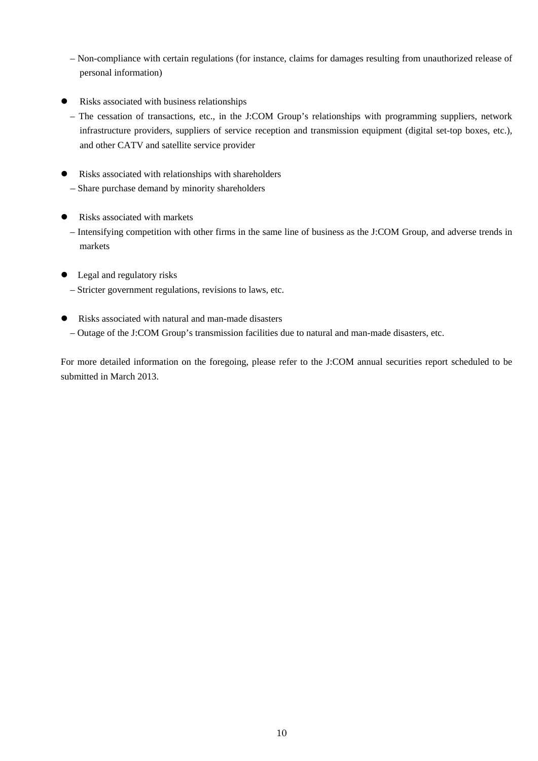- Non-compliance with certain regulations (for instance, claims for damages resulting from unauthorized release of personal information)
- Risks associated with business relationships
- The cessation of transactions, etc., in the J:COM Group's relationships with programming suppliers, network infrastructure providers, suppliers of service reception and transmission equipment (digital set-top boxes, etc.), and other CATV and satellite service provider
- Risks associated with relationships with shareholders – Share purchase demand by minority shareholders
- Risks associated with markets
	- Intensifying competition with other firms in the same line of business as the J:COM Group, and adverse trends in markets
- Legal and regulatory risks
	- Stricter government regulations, revisions to laws, etc.
- Risks associated with natural and man-made disasters – Outage of the J:COM Group's transmission facilities due to natural and man-made disasters, etc.

For more detailed information on the foregoing, please refer to the J:COM annual securities report scheduled to be submitted in March 2013.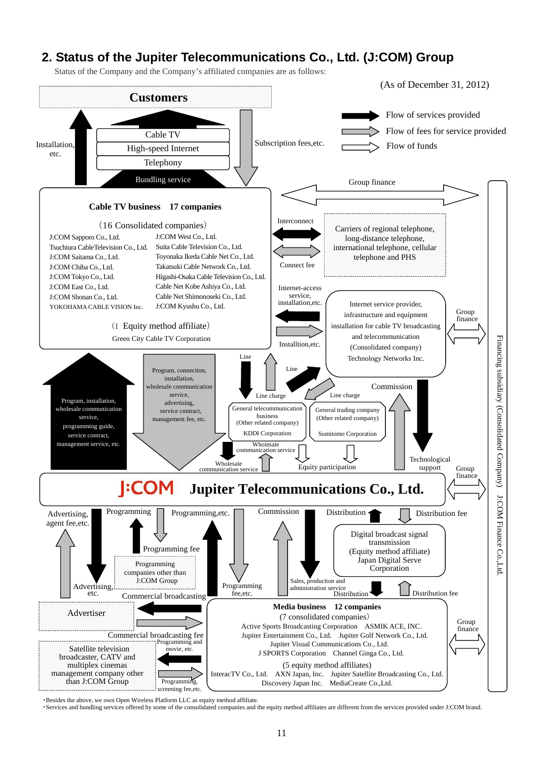# **2. Status of the Jupiter Telecommunications Co., Ltd. (J:COM) Group**

Status of the Company and the Company's affiliated companies are as follows:



・Besides the above, we own Open Wireless Platform LLC as equity method affiliate.

・Services and bundling services offered by some of the consolidated companies and the equity method affiliates are different from the services provided under J:COM brand.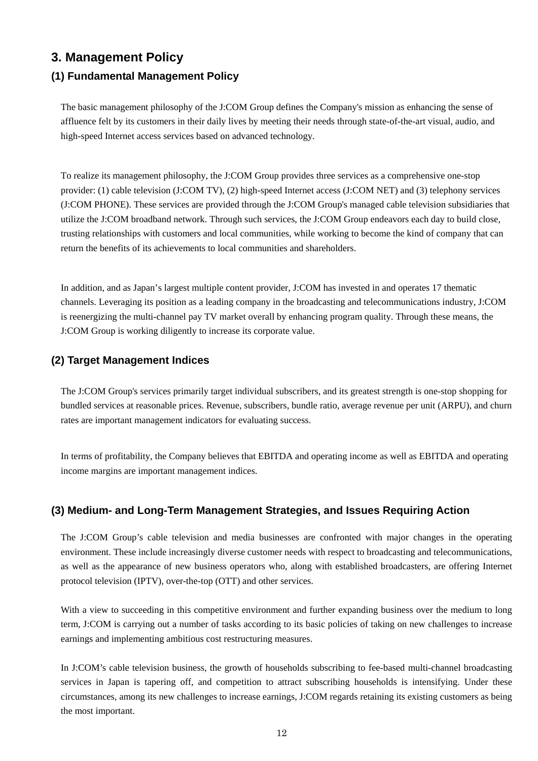# **3. Management Policy**

### **(1) Fundamental Management Policy**

The basic management philosophy of the J:COM Group defines the Company's mission as enhancing the sense of affluence felt by its customers in their daily lives by meeting their needs through state-of-the-art visual, audio, and high-speed Internet access services based on advanced technology.

To realize its management philosophy, the J:COM Group provides three services as a comprehensive one-stop provider: (1) cable television (J:COM TV), (2) high-speed Internet access (J:COM NET) and (3) telephony services (J:COM PHONE). These services are provided through the J:COM Group's managed cable television subsidiaries that utilize the J:COM broadband network. Through such services, the J:COM Group endeavors each day to build close, trusting relationships with customers and local communities, while working to become the kind of company that can return the benefits of its achievements to local communities and shareholders.

In addition, and as Japan's largest multiple content provider, J:COM has invested in and operates 17 thematic channels. Leveraging its position as a leading company in the broadcasting and telecommunications industry, J:COM is reenergizing the multi-channel pay TV market overall by enhancing program quality. Through these means, the J:COM Group is working diligently to increase its corporate value.

### **(2) Target Management Indices**

The J:COM Group's services primarily target individual subscribers, and its greatest strength is one-stop shopping for bundled services at reasonable prices. Revenue, subscribers, bundle ratio, average revenue per unit (ARPU), and churn rates are important management indicators for evaluating success.

In terms of profitability, the Company believes that EBITDA and operating income as well as EBITDA and operating income margins are important management indices.

### **(3) Medium- and Long-Term Management Strategies, and Issues Requiring Action**

The J:COM Group's cable television and media businesses are confronted with major changes in the operating environment. These include increasingly diverse customer needs with respect to broadcasting and telecommunications, as well as the appearance of new business operators who, along with established broadcasters, are offering Internet protocol television (IPTV), over-the-top (OTT) and other services.

With a view to succeeding in this competitive environment and further expanding business over the medium to long term, J:COM is carrying out a number of tasks according to its basic policies of taking on new challenges to increase earnings and implementing ambitious cost restructuring measures.

In J:COM's cable television business, the growth of households subscribing to fee-based multi-channel broadcasting services in Japan is tapering off, and competition to attract subscribing households is intensifying. Under these circumstances, among its new challenges to increase earnings, J:COM regards retaining its existing customers as being the most important.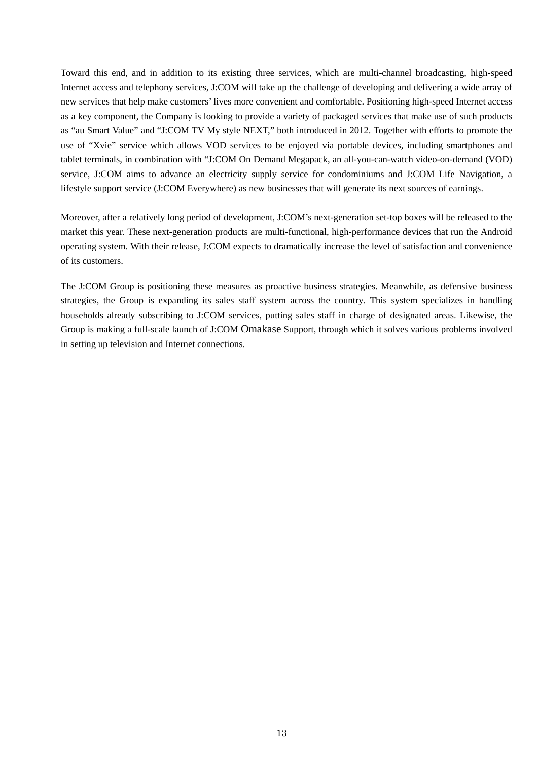Toward this end, and in addition to its existing three services, which are multi-channel broadcasting, high-speed Internet access and telephony services, J:COM will take up the challenge of developing and delivering a wide array of new services that help make customers' lives more convenient and comfortable. Positioning high-speed Internet access as a key component, the Company is looking to provide a variety of packaged services that make use of such products as "au Smart Value" and "J:COM TV My style NEXT," both introduced in 2012. Together with efforts to promote the use of "Xvie" service which allows VOD services to be enjoyed via portable devices, including smartphones and tablet terminals, in combination with "J:COM On Demand Megapack, an all-you-can-watch video-on-demand (VOD) service, J:COM aims to advance an electricity supply service for condominiums and J:COM Life Navigation, a lifestyle support service (J:COM Everywhere) as new businesses that will generate its next sources of earnings.

Moreover, after a relatively long period of development, J:COM's next-generation set-top boxes will be released to the market this year. These next-generation products are multi-functional, high-performance devices that run the Android operating system. With their release, J:COM expects to dramatically increase the level of satisfaction and convenience of its customers.

The J:COM Group is positioning these measures as proactive business strategies. Meanwhile, as defensive business strategies, the Group is expanding its sales staff system across the country. This system specializes in handling households already subscribing to J:COM services, putting sales staff in charge of designated areas. Likewise, the Group is making a full-scale launch of J:COM Omakase Support, through which it solves various problems involved in setting up television and Internet connections.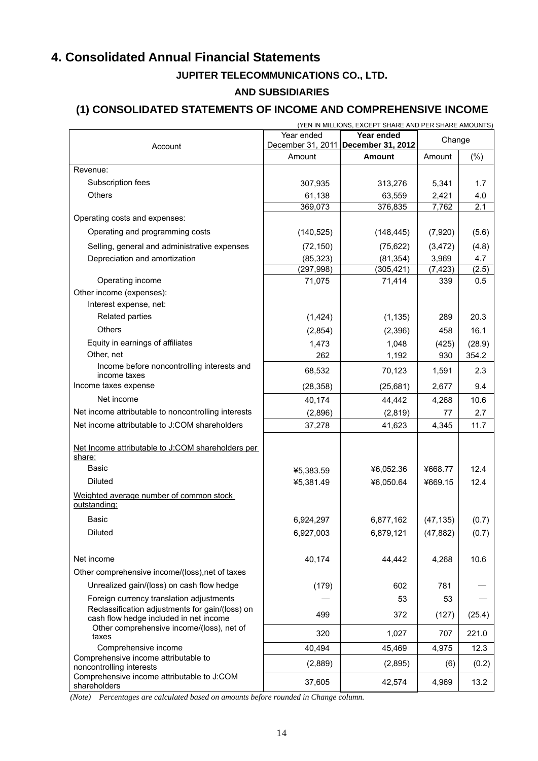# **4. Consolidated Annual Financial Statements**

# **JUPITER TELECOMMUNICATIONS CO., LTD.**

### **AND SUBSIDIARIES**

# **(1) CONSOLIDATED STATEMENTS OF INCOME AND COMPREHENSIVE INCOME**

| (YEN IN MILLIONS, EXCEPT SHARE AND PER SHARE AMOUNTS)                                     |            |                                                   |           |         |
|-------------------------------------------------------------------------------------------|------------|---------------------------------------------------|-----------|---------|
| Account                                                                                   | Year ended | Year ended<br>December 31, 2011 December 31, 2012 | Change    |         |
|                                                                                           | Amount     | <b>Amount</b>                                     | Amount    | $(\% )$ |
| Revenue:                                                                                  |            |                                                   |           |         |
| Subscription fees                                                                         | 307,935    | 313,276                                           | 5,341     | 1.7     |
| <b>Others</b>                                                                             | 61,138     | 63,559                                            | 2,421     | 4.0     |
|                                                                                           | 369,073    | 376,835                                           | 7,762     | 2.1     |
| Operating costs and expenses:                                                             |            |                                                   |           |         |
| Operating and programming costs                                                           | (140, 525) | (148, 445)                                        | (7,920)   | (5.6)   |
| Selling, general and administrative expenses                                              | (72, 150)  | (75, 622)                                         | (3, 472)  | (4.8)   |
| Depreciation and amortization                                                             | (85, 323)  | (81, 354)                                         | 3,969     | 4.7     |
|                                                                                           | (297, 998) | (305, 421)                                        | (7, 423)  | (2.5)   |
| Operating income                                                                          | 71,075     | 71,414                                            | 339       | 0.5     |
| Other income (expenses):                                                                  |            |                                                   |           |         |
| Interest expense, net:                                                                    |            |                                                   |           |         |
| Related parties                                                                           | (1, 424)   | (1, 135)                                          | 289       | 20.3    |
| <b>Others</b>                                                                             | (2,854)    | (2, 396)                                          | 458       | 16.1    |
| Equity in earnings of affiliates                                                          | 1,473      | 1,048                                             | (425)     | (28.9)  |
| Other, net                                                                                | 262        | 1,192                                             | 930       | 354.2   |
| Income before noncontrolling interests and<br>income taxes                                | 68,532     | 70,123                                            | 1,591     | 2.3     |
| Income taxes expense                                                                      | (28, 358)  | (25, 681)                                         | 2,677     | 9.4     |
| Net income                                                                                | 40,174     | 44,442                                            | 4,268     | 10.6    |
| Net income attributable to noncontrolling interests                                       | (2,896)    | (2,819)                                           | 77        | 2.7     |
| Net income attributable to J:COM shareholders                                             | 37,278     | 41,623                                            | 4,345     | 11.7    |
|                                                                                           |            |                                                   |           |         |
| Net Income attributable to J:COM shareholders per<br>share:                               |            |                                                   |           |         |
| <b>Basic</b>                                                                              | ¥5,383.59  | ¥6,052.36                                         | ¥668.77   | 12.4    |
| <b>Diluted</b>                                                                            | ¥5,381.49  | ¥6,050.64                                         | ¥669.15   | 12.4    |
| Weighted average number of common stock<br>outstanding:                                   |            |                                                   |           |         |
| Basic                                                                                     | 6,924,297  | 6,877,162                                         | (47, 135) | (0.7)   |
| <b>Diluted</b>                                                                            | 6,927,003  | 6,879,121                                         | (47, 882) | (0.7)   |
|                                                                                           |            |                                                   |           |         |
| Net income                                                                                | 40,174     | 44,442                                            | 4,268     | 10.6    |
| Other comprehensive income/(loss), net of taxes                                           |            |                                                   |           |         |
| Unrealized gain/(loss) on cash flow hedge                                                 | (179)      | 602                                               | 781       |         |
| Foreign currency translation adjustments                                                  |            | 53                                                | 53        |         |
| Reclassification adjustments for gain/(loss) on<br>cash flow hedge included in net income | 499        | 372                                               | (127)     | (25.4)  |
| Other comprehensive income/(loss), net of<br>taxes                                        | 320        | 1,027                                             | 707       | 221.0   |
| Comprehensive income                                                                      | 40,494     | 45,469                                            | 4,975     | 12.3    |
| Comprehensive income attributable to                                                      | (2,889)    | (2,895)                                           | (6)       | (0.2)   |
| noncontrolling interests<br>Comprehensive income attributable to J:COM<br>shareholders    | 37,605     | 42,574                                            | 4,969     | 13.2    |

*(Note) Percentages are calculated based on amounts before rounded in Change column.*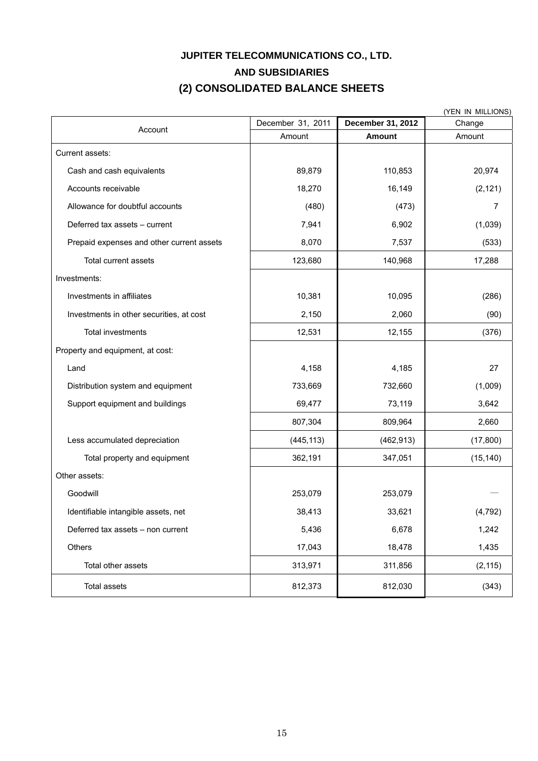# **JUPITER TELECOMMUNICATIONS CO., LTD. AND SUBSIDIARIES (2) CONSOLIDATED BALANCE SHEETS**

| (YEN IN MILLIONS)                         |                   |                   |           |
|-------------------------------------------|-------------------|-------------------|-----------|
| Account                                   | December 31, 2011 | December 31, 2012 | Change    |
|                                           | Amount            | <b>Amount</b>     | Amount    |
| Current assets:                           |                   |                   |           |
| Cash and cash equivalents                 | 89,879            | 110,853           | 20,974    |
| Accounts receivable                       | 18,270            | 16,149            | (2, 121)  |
| Allowance for doubtful accounts           | (480)             | (473)             | 7         |
| Deferred tax assets - current             | 7,941             | 6,902             | (1,039)   |
| Prepaid expenses and other current assets | 8,070             | 7,537             | (533)     |
| Total current assets                      | 123,680           | 140,968           | 17,288    |
| Investments:                              |                   |                   |           |
| Investments in affiliates                 | 10,381            | 10,095            | (286)     |
| Investments in other securities, at cost  | 2,150             | 2,060             | (90)      |
| Total investments                         | 12,531            | 12,155            | (376)     |
| Property and equipment, at cost:          |                   |                   |           |
| Land                                      | 4,158             | 4,185             | 27        |
| Distribution system and equipment         | 733,669           | 732,660           | (1,009)   |
| Support equipment and buildings           | 69,477            | 73,119            | 3,642     |
|                                           | 807,304           | 809,964           | 2,660     |
| Less accumulated depreciation             | (445, 113)        | (462, 913)        | (17,800)  |
| Total property and equipment              | 362,191           | 347,051           | (15, 140) |
| Other assets:                             |                   |                   |           |
| Goodwill                                  | 253,079           | 253,079           |           |
| Identifiable intangible assets, net       | 38,413            | 33,621            | (4, 792)  |
| Deferred tax assets - non current         | 5,436             | 6,678             | 1,242     |
| Others                                    | 17,043            | 18,478            | 1,435     |
| Total other assets                        | 313,971           | 311,856           | (2, 115)  |
| <b>Total assets</b>                       | 812,373           | 812,030           | (343)     |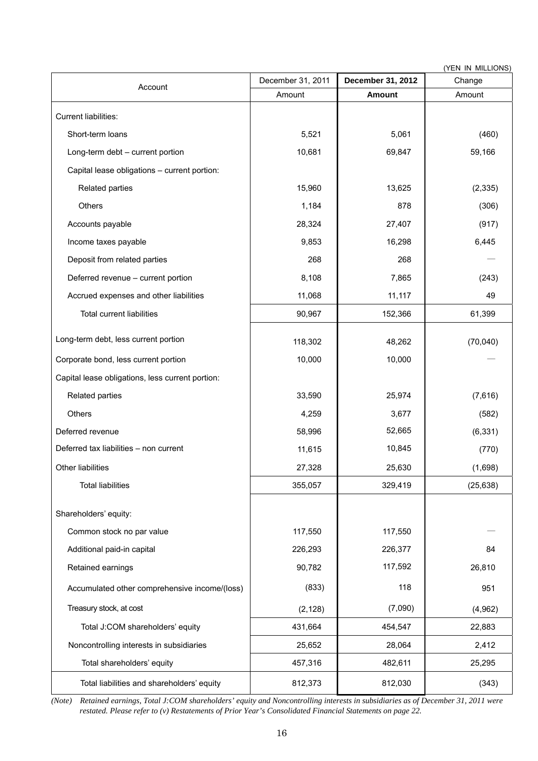|                                                  | (YEN IN MILLIONS) |                   |           |  |
|--------------------------------------------------|-------------------|-------------------|-----------|--|
| Account                                          | December 31, 2011 | December 31, 2012 | Change    |  |
|                                                  | Amount            | <b>Amount</b>     | Amount    |  |
| Current liabilities:                             |                   |                   |           |  |
| Short-term loans                                 | 5,521             | 5,061             | (460)     |  |
| Long-term debt - current portion                 | 10,681            | 69,847            | 59,166    |  |
| Capital lease obligations - current portion:     |                   |                   |           |  |
| Related parties                                  | 15,960            | 13,625            | (2, 335)  |  |
| Others                                           | 1,184             | 878               | (306)     |  |
| Accounts payable                                 | 28,324            | 27,407            | (917)     |  |
| Income taxes payable                             | 9,853             | 16,298            | 6,445     |  |
| Deposit from related parties                     | 268               | 268               |           |  |
| Deferred revenue - current portion               | 8,108             | 7,865             | (243)     |  |
| Accrued expenses and other liabilities           | 11,068            | 11,117            | 49        |  |
| <b>Total current liabilities</b>                 | 90,967            | 152,366           | 61,399    |  |
| Long-term debt, less current portion             | 118,302           | 48,262            | (70,040)  |  |
| Corporate bond, less current portion             | 10,000            | 10,000            |           |  |
| Capital lease obligations, less current portion: |                   |                   |           |  |
| Related parties                                  | 33,590            | 25,974            | (7,616)   |  |
| Others                                           | 4,259             | 3,677             | (582)     |  |
| Deferred revenue                                 | 58,996            | 52,665            | (6, 331)  |  |
| Deferred tax liabilities - non current           | 11,615            | 10,845            | (770)     |  |
| Other liabilities                                | 27,328            | 25,630            | (1,698)   |  |
| <b>Total liabilities</b>                         | 355,057           | 329,419           | (25, 638) |  |
| Shareholders' equity:                            |                   |                   |           |  |
| Common stock no par value                        | 117,550           | 117,550           |           |  |
| Additional paid-in capital                       | 226,293           | 226,377           | 84        |  |
| Retained earnings                                | 90,782            | 117,592           | 26,810    |  |
| Accumulated other comprehensive income/(loss)    | (833)             | 118               | 951       |  |
| Treasury stock, at cost                          | (2, 128)          | (7,090)           | (4,962)   |  |
| Total J:COM shareholders' equity                 | 431,664           | 454,547           | 22,883    |  |
| Noncontrolling interests in subsidiaries         | 25,652            | 28,064            | 2,412     |  |
| Total shareholders' equity                       | 457,316           | 482,611           | 25,295    |  |
| Total liabilities and shareholders' equity       | 812,373           | 812,030           | (343)     |  |

*(Note) Retained earnings, Total J:COM shareholders' equity and Noncontrolling interests in subsidiaries as of December 31, 2011 were restated. Please refer to (v) Restatements of Prior Year's Consolidated Financial Statements on page 22.*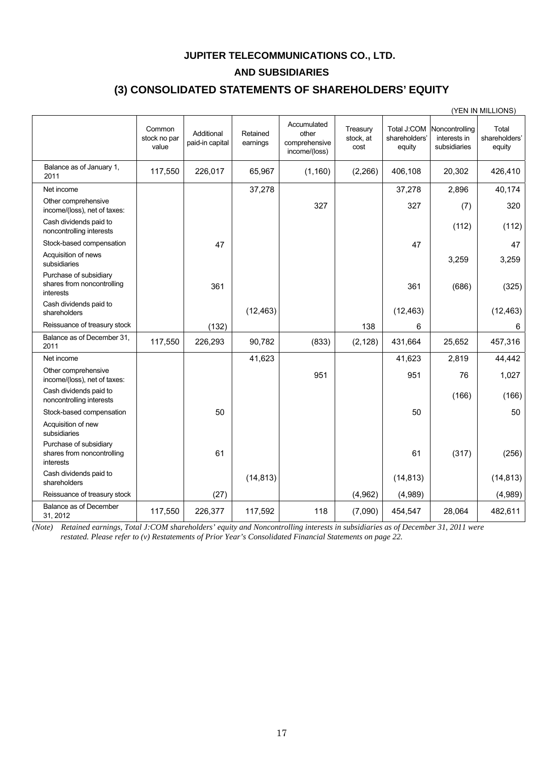### **JUPITER TELECOMMUNICATIONS CO., LTD.**

### **AND SUBSIDIARIES**

# **(3) CONSOLIDATED STATEMENTS OF SHAREHOLDERS' EQUITY**

|                                                                   |                                 |                               |                      |                                                        |                               |                                        |                                                | (YEN IN MILLIONS)                |
|-------------------------------------------------------------------|---------------------------------|-------------------------------|----------------------|--------------------------------------------------------|-------------------------------|----------------------------------------|------------------------------------------------|----------------------------------|
|                                                                   | Common<br>stock no par<br>value | Additional<br>paid-in capital | Retained<br>earnings | Accumulated<br>other<br>comprehensive<br>income/(loss) | Treasury<br>stock, at<br>cost | Total J:COM<br>shareholders'<br>equity | Noncontrolling<br>interests in<br>subsidiaries | Total<br>shareholders'<br>equity |
| Balance as of January 1,<br>2011                                  | 117,550                         | 226,017                       | 65,967               | (1, 160)                                               | (2,266)                       | 406,108                                | 20,302                                         | 426,410                          |
| Net income                                                        |                                 |                               | 37,278               |                                                        |                               | 37,278                                 | 2,896                                          | 40,174                           |
| Other comprehensive<br>income/(loss), net of taxes:               |                                 |                               |                      | 327                                                    |                               | 327                                    | (7)                                            | 320                              |
| Cash dividends paid to<br>noncontrolling interests                |                                 |                               |                      |                                                        |                               |                                        | (112)                                          | (112)                            |
| Stock-based compensation                                          |                                 | 47                            |                      |                                                        |                               | 47                                     |                                                | 47                               |
| Acquisition of news<br>subsidiaries                               |                                 |                               |                      |                                                        |                               |                                        | 3,259                                          | 3,259                            |
| Purchase of subsidiary<br>shares from noncontrolling<br>interests |                                 | 361                           |                      |                                                        |                               | 361                                    | (686)                                          | (325)                            |
| Cash dividends paid to<br>shareholders                            |                                 |                               | (12, 463)            |                                                        |                               | (12, 463)                              |                                                | (12, 463)                        |
| Reissuance of treasury stock                                      |                                 | (132)                         |                      |                                                        | 138                           | 6                                      |                                                | 6                                |
| Balance as of December 31.<br>2011                                | 117,550                         | 226,293                       | 90,782               | (833)                                                  | (2, 128)                      | 431,664                                | 25,652                                         | 457,316                          |
| Net income                                                        |                                 |                               | 41,623               |                                                        |                               | 41,623                                 | 2,819                                          | 44,442                           |
| Other comprehensive<br>income/(loss), net of taxes:               |                                 |                               |                      | 951                                                    |                               | 951                                    | 76                                             | 1,027                            |
| Cash dividends paid to<br>noncontrolling interests                |                                 |                               |                      |                                                        |                               |                                        | (166)                                          | (166)                            |
| Stock-based compensation                                          |                                 | 50                            |                      |                                                        |                               | 50                                     |                                                | 50                               |
| Acquisition of new<br>subsidiaries                                |                                 |                               |                      |                                                        |                               |                                        |                                                |                                  |
| Purchase of subsidiary<br>shares from noncontrolling<br>interests |                                 | 61                            |                      |                                                        |                               | 61                                     | (317)                                          | (256)                            |
| Cash dividends paid to<br>shareholders                            |                                 |                               | (14, 813)            |                                                        |                               | (14, 813)                              |                                                | (14, 813)                        |
| Reissuance of treasury stock                                      |                                 | (27)                          |                      |                                                        | (4,962)                       | (4,989)                                |                                                | (4,989)                          |
| Balance as of December<br>31, 2012                                | 117,550                         | 226,377                       | 117,592              | 118                                                    | (7,090)                       | 454,547                                | 28,064                                         | 482,611                          |

*(Note) Retained earnings, Total J:COM shareholders' equity and Noncontrolling interests in subsidiaries as of December 31, 2011 were restated. Please refer to (v) Restatements of Prior Year's Consolidated Financial Statements on page 22.*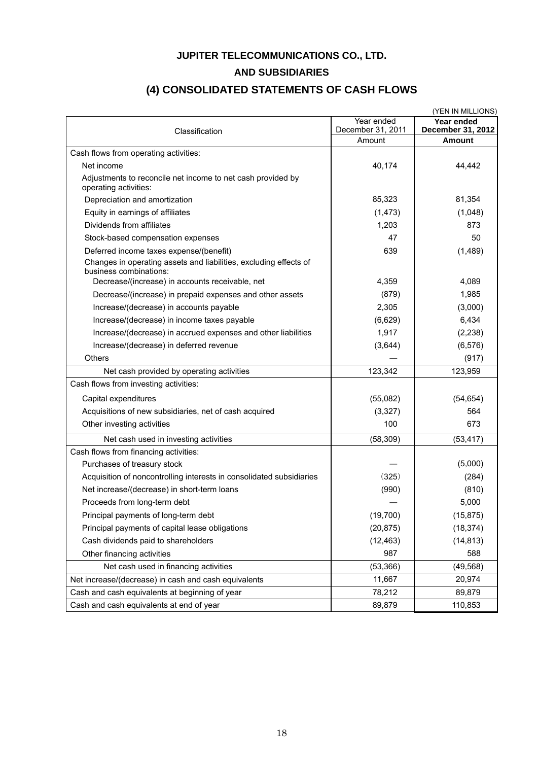## **JUPITER TELECOMMUNICATIONS CO., LTD.**

### **AND SUBSIDIARIES**

# **(4) CONSOLIDATED STATEMENTS OF CASH FLOWS**

| (YEN IN MILLIONS)                                                                           |                                 |                                 |  |
|---------------------------------------------------------------------------------------------|---------------------------------|---------------------------------|--|
| Classification                                                                              | Year ended<br>December 31, 2011 | Year ended<br>December 31, 2012 |  |
|                                                                                             | Amount                          | <b>Amount</b>                   |  |
| Cash flows from operating activities:                                                       |                                 |                                 |  |
| Net income                                                                                  | 40,174                          | 44,442                          |  |
| Adjustments to reconcile net income to net cash provided by<br>operating activities:        |                                 |                                 |  |
| Depreciation and amortization                                                               | 85,323                          | 81,354                          |  |
| Equity in earnings of affiliates                                                            | (1, 473)                        | (1,048)                         |  |
| Dividends from affiliates                                                                   | 1,203                           | 873                             |  |
| Stock-based compensation expenses                                                           | 47                              | 50                              |  |
| Deferred income taxes expense/(benefit)                                                     | 639                             | (1,489)                         |  |
| Changes in operating assets and liabilities, excluding effects of<br>business combinations: |                                 |                                 |  |
| Decrease/(increase) in accounts receivable, net                                             | 4,359                           | 4,089                           |  |
| Decrease/(increase) in prepaid expenses and other assets                                    | (879)                           | 1,985                           |  |
| Increase/(decrease) in accounts payable                                                     | 2,305                           | (3,000)                         |  |
| Increase/(decrease) in income taxes payable                                                 | (6,629)                         | 6,434                           |  |
| Increase/(decrease) in accrued expenses and other liabilities                               | 1,917                           | (2, 238)                        |  |
| Increase/(decrease) in deferred revenue                                                     | (3,644)                         | (6, 576)                        |  |
| Others                                                                                      |                                 | (917)                           |  |
| Net cash provided by operating activities                                                   | 123,342                         | 123,959                         |  |
| Cash flows from investing activities:                                                       |                                 |                                 |  |
| Capital expenditures                                                                        | (55,082)                        | (54, 654)                       |  |
| Acquisitions of new subsidiaries, net of cash acquired                                      | (3, 327)                        | 564                             |  |
| Other investing activities                                                                  | 100                             | 673                             |  |
| Net cash used in investing activities                                                       | (58, 309)                       | (53, 417)                       |  |
| Cash flows from financing activities:                                                       |                                 |                                 |  |
| Purchases of treasury stock                                                                 |                                 | (5,000)                         |  |
| Acquisition of noncontrolling interests in consolidated subsidiaries                        | (325)                           | (284)                           |  |
| Net increase/(decrease) in short-term loans                                                 | (990)                           | (810)                           |  |
| Proceeds from long-term debt                                                                |                                 | 5,000                           |  |
| Principal payments of long-term debt                                                        | (19,700)                        | (15, 875)                       |  |
| Principal payments of capital lease obligations                                             | (20, 875)                       | (18, 374)                       |  |
| Cash dividends paid to shareholders                                                         | (12, 463)                       | (14, 813)                       |  |
| Other financing activities                                                                  | 987                             | 588                             |  |
| Net cash used in financing activities                                                       | (53, 366)                       | (49, 568)                       |  |
| Net increase/(decrease) in cash and cash equivalents                                        | 11,667                          | 20,974                          |  |
| Cash and cash equivalents at beginning of year                                              | 78,212                          | 89,879                          |  |
| Cash and cash equivalents at end of year                                                    | 89,879                          | 110,853                         |  |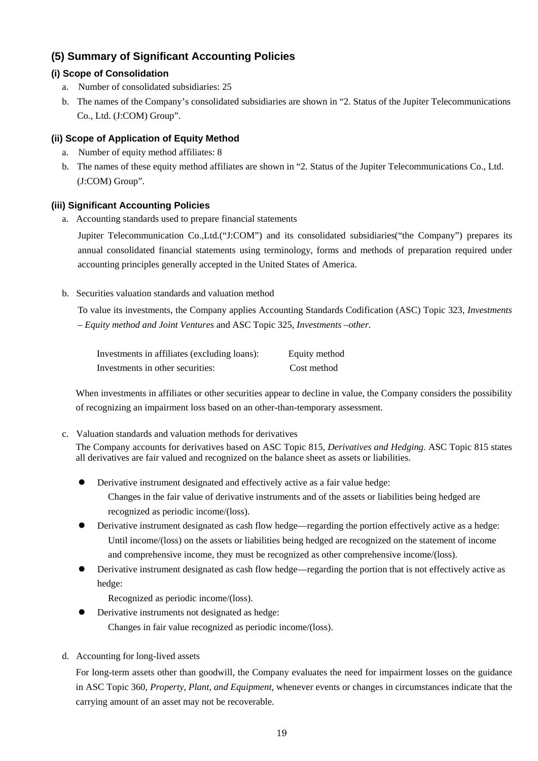# **(5) Summary of Significant Accounting Policies**

### **(i) Scope of Consolidation**

- a. Number of consolidated subsidiaries: 25
- b. The names of the Company's consolidated subsidiaries are shown in "2. Status of the Jupiter Telecommunications Co., Ltd. (J:COM) Group".

### **(ii) Scope of Application of Equity Method**

- a. Number of equity method affiliates: 8
- b. The names of these equity method affiliates are shown in "2. Status of the Jupiter Telecommunications Co., Ltd. (J:COM) Group".

### **(iii) Significant Accounting Policies**

a. Accounting standards used to prepare financial statements

Jupiter Telecommunication Co.,Ltd.("J:COM") and its consolidated subsidiaries("the Company") prepares its annual consolidated financial statements using terminology, forms and methods of preparation required under accounting principles generally accepted in the United States of America.

b. Securities valuation standards and valuation method

To value its investments, the Company applies Accounting Standards Codification (ASC) Topic 323, *Investments – Equity method and Joint Ventures* and ASC Topic 325, *Investments –other*.

| Investments in affiliates (excluding loans): | Equity method |
|----------------------------------------------|---------------|
| Investments in other securities:             | Cost method   |

When investments in affiliates or other securities appear to decline in value, the Company considers the possibility of recognizing an impairment loss based on an other-than-temporary assessment.

- c. Valuation standards and valuation methods for derivatives The Company accounts for derivatives based on ASC Topic 815, *Derivatives and Hedging*. ASC Topic 815 states all derivatives are fair valued and recognized on the balance sheet as assets or liabilities.
	- Derivative instrument designated and effectively active as a fair value hedge:

Changes in the fair value of derivative instruments and of the assets or liabilities being hedged are recognized as periodic income/(loss).

- Derivative instrument designated as cash flow hedge—regarding the portion effectively active as a hedge: Until income/(loss) on the assets or liabilities being hedged are recognized on the statement of income and comprehensive income, they must be recognized as other comprehensive income/(loss).
- Derivative instrument designated as cash flow hedge—regarding the portion that is not effectively active as hedge:

Recognized as periodic income/(loss).

- Derivative instruments not designated as hedge: Changes in fair value recognized as periodic income/(loss).
- d. Accounting for long-lived assets

For long-term assets other than goodwill, the Company evaluates the need for impairment losses on the guidance in ASC Topic 360, *Property, Plant, and Equipment*, whenever events or changes in circumstances indicate that the carrying amount of an asset may not be recoverable.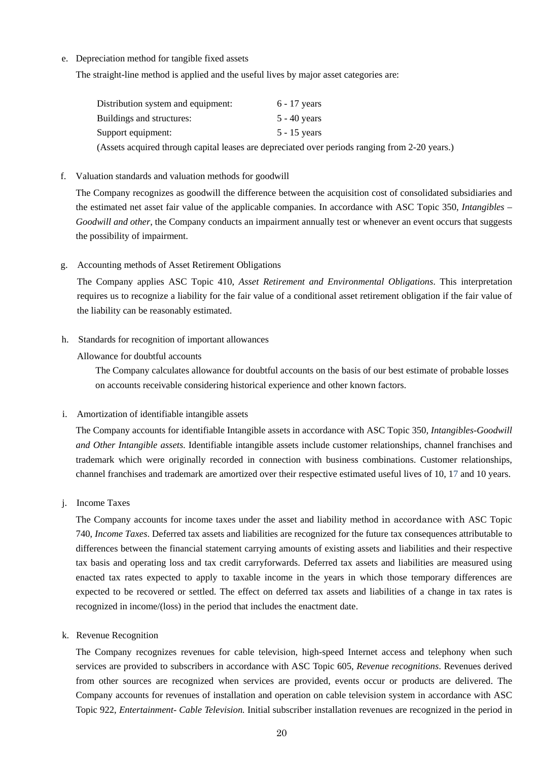e. Depreciation method for tangible fixed assets

The straight-line method is applied and the useful lives by major asset categories are:

| Distribution system and equipment: | $6 - 17$ years                                                                                 |
|------------------------------------|------------------------------------------------------------------------------------------------|
| Buildings and structures:          | $5 - 40$ vears                                                                                 |
| Support equipment:                 | $5 - 15$ years                                                                                 |
|                                    | (Assets acquired through capital leases are depreciated over periods ranging from 2-20 years.) |

f. Valuation standards and valuation methods for goodwill

The Company recognizes as goodwill the difference between the acquisition cost of consolidated subsidiaries and the estimated net asset fair value of the applicable companies. In accordance with ASC Topic 350, *Intangibles – Goodwill and other*, the Company conducts an impairment annually test or whenever an event occurs that suggests the possibility of impairment.

g. Accounting methods of Asset Retirement Obligations

The Company applies ASC Topic 410, *Asset Retirement and Environmental Obligations*. This interpretation requires us to recognize a liability for the fair value of a conditional asset retirement obligation if the fair value of the liability can be reasonably estimated.

h. Standards for recognition of important allowances

Allowance for doubtful accounts

The Company calculates allowance for doubtful accounts on the basis of our best estimate of probable losses on accounts receivable considering historical experience and other known factors.

i. Amortization of identifiable intangible assets

The Company accounts for identifiable Intangible assets in accordance with ASC Topic 350, *Intangibles-Goodwill and Other Intangible assets*. Identifiable intangible assets include customer relationships, channel franchises and trademark which were originally recorded in connection with business combinations. Customer relationships, channel franchises and trademark are amortized over their respective estimated useful lives of 10, 17 and 10 years.

j. Income Taxes

The Company accounts for income taxes under the asset and liability method in accordance with ASC Topic 740, *Income Taxes*. Deferred tax assets and liabilities are recognized for the future tax consequences attributable to differences between the financial statement carrying amounts of existing assets and liabilities and their respective tax basis and operating loss and tax credit carryforwards. Deferred tax assets and liabilities are measured using enacted tax rates expected to apply to taxable income in the years in which those temporary differences are expected to be recovered or settled. The effect on deferred tax assets and liabilities of a change in tax rates is recognized in income/(loss) in the period that includes the enactment date.

k. Revenue Recognition

The Company recognizes revenues for cable television, high-speed Internet access and telephony when such services are provided to subscribers in accordance with ASC Topic 605, *Revenue recognitions*. Revenues derived from other sources are recognized when services are provided, events occur or products are delivered. The Company accounts for revenues of installation and operation on cable television system in accordance with ASC Topic 922, *Entertainment- Cable Television.* Initial subscriber installation revenues are recognized in the period in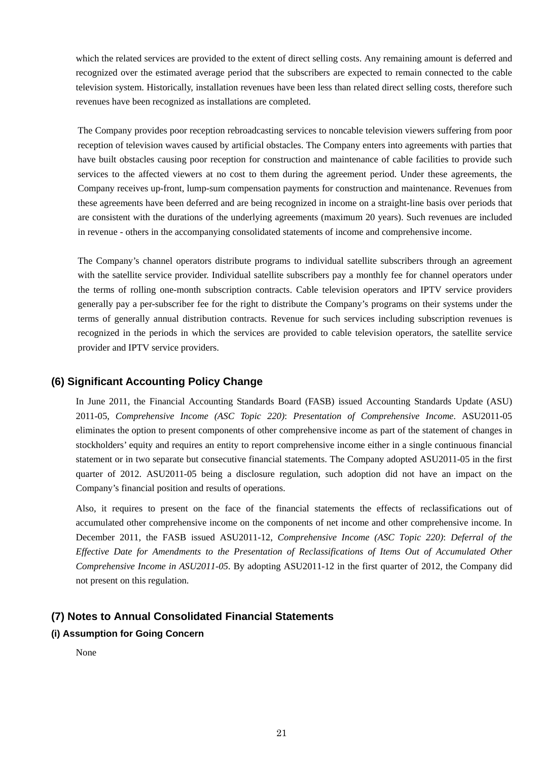which the related services are provided to the extent of direct selling costs. Any remaining amount is deferred and recognized over the estimated average period that the subscribers are expected to remain connected to the cable television system. Historically, installation revenues have been less than related direct selling costs, therefore such revenues have been recognized as installations are completed.

The Company provides poor reception rebroadcasting services to noncable television viewers suffering from poor reception of television waves caused by artificial obstacles. The Company enters into agreements with parties that have built obstacles causing poor reception for construction and maintenance of cable facilities to provide such services to the affected viewers at no cost to them during the agreement period. Under these agreements, the Company receives up-front, lump-sum compensation payments for construction and maintenance. Revenues from these agreements have been deferred and are being recognized in income on a straight-line basis over periods that are consistent with the durations of the underlying agreements (maximum 20 years). Such revenues are included in revenue - others in the accompanying consolidated statements of income and comprehensive income.

The Company's channel operators distribute programs to individual satellite subscribers through an agreement with the satellite service provider. Individual satellite subscribers pay a monthly fee for channel operators under the terms of rolling one-month subscription contracts. Cable television operators and IPTV service providers generally pay a per-subscriber fee for the right to distribute the Company's programs on their systems under the terms of generally annual distribution contracts. Revenue for such services including subscription revenues is recognized in the periods in which the services are provided to cable television operators, the satellite service provider and IPTV service providers.

### **(6) Significant Accounting Policy Change**

In June 2011, the Financial Accounting Standards Board (FASB) issued Accounting Standards Update (ASU) 2011-05, *Comprehensive Income (ASC Topic 220)*: *Presentation of Comprehensive Income*. ASU2011-05 eliminates the option to present components of other comprehensive income as part of the statement of changes in stockholders' equity and requires an entity to report comprehensive income either in a single continuous financial statement or in two separate but consecutive financial statements. The Company adopted ASU2011-05 in the first quarter of 2012. ASU2011-05 being a disclosure regulation, such adoption did not have an impact on the Company's financial position and results of operations.

Also, it requires to present on the face of the financial statements the effects of reclassifications out of accumulated other comprehensive income on the components of net income and other comprehensive income. In December 2011, the FASB issued ASU2011-12, *Comprehensive Income (ASC Topic 220)*: *Deferral of the Effective Date for Amendments to the Presentation of Reclassifications of Items Out of Accumulated Other Comprehensive Income in ASU2011-05*. By adopting ASU2011-12 in the first quarter of 2012, the Company did not present on this regulation.

### **(7) Notes to Annual Consolidated Financial Statements**

#### **(i) Assumption for Going Concern**

None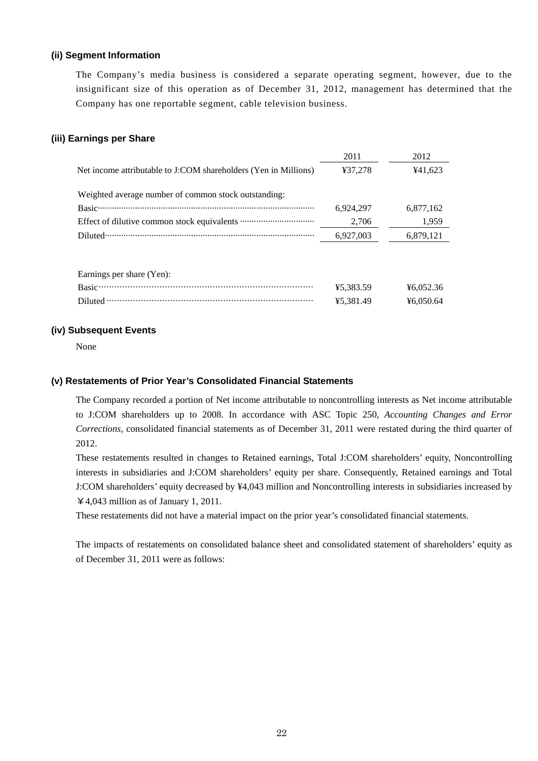#### **(ii) Segment Information**

The Company's media business is considered a separate operating segment, however, due to the insignificant size of this operation as of December 31, 2012, management has determined that the Company has one reportable segment, cable television business.

#### **(iii) Earnings per Share**

|                                                                  | 2011      | 2012      |
|------------------------------------------------------------------|-----------|-----------|
| Net income attributable to J:COM shareholders (Yen in Millions)  | ¥37,278   | ¥41,623   |
| Weighted average number of common stock outstanding:             |           |           |
|                                                                  | 6,924,297 | 6,877,162 |
|                                                                  | 2,706     | 1,959     |
|                                                                  | 6,927,003 | 6,879,121 |
|                                                                  |           |           |
| Earnings per share (Yen):                                        |           |           |
| $Basic \qquad \qquad \textbf{Basic} \qquad \qquad \textbf{28.1}$ | ¥5,383.59 | 46,052.36 |
|                                                                  | ¥5.381.49 | ¥6.050.64 |

#### **(iv) Subsequent Events**

None

#### **(v) Restatements of Prior Year's Consolidated Financial Statements**

The Company recorded a portion of Net income attributable to noncontrolling interests as Net income attributable to J:COM shareholders up to 2008. In accordance with ASC Topic 250, *Accounting Changes and Error Corrections*, consolidated financial statements as of December 31, 2011 were restated during the third quarter of 2012.

These restatements resulted in changes to Retained earnings, Total J:COM shareholders' equity, Noncontrolling interests in subsidiaries and J:COM shareholders' equity per share. Consequently, Retained earnings and Total J:COM shareholders' equity decreased by ¥4,043 million and Noncontrolling interests in subsidiaries increased by ¥4,043 million as of January 1, 2011.

These restatements did not have a material impact on the prior year's consolidated financial statements.

The impacts of restatements on consolidated balance sheet and consolidated statement of shareholders' equity as of December 31, 2011 were as follows: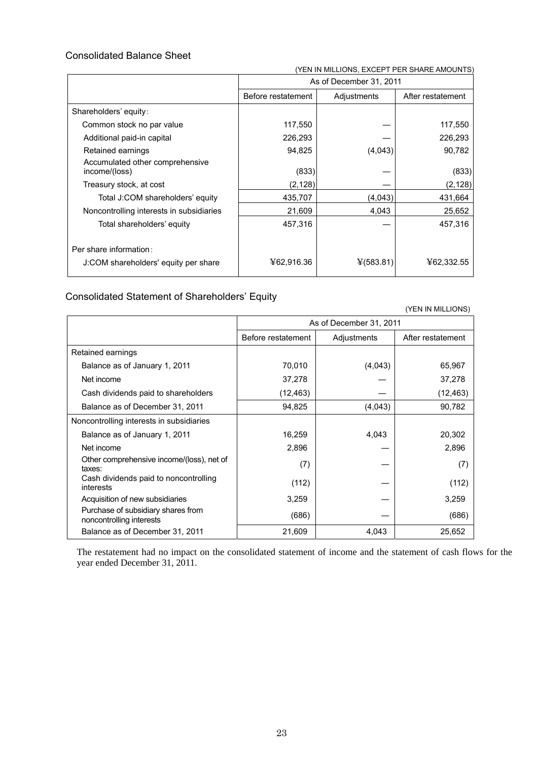#### Consolidated Balance Sheet

| (YEN IN MILLIONS, EXCEPT PER SHARE AMOUNTS       |                         |             |                   |  |
|--------------------------------------------------|-------------------------|-------------|-------------------|--|
|                                                  | As of December 31, 2011 |             |                   |  |
|                                                  | Before restatement      | Adjustments | After restatement |  |
| Shareholders' equity:                            |                         |             |                   |  |
| Common stock no par value                        | 117,550                 |             | 117,550           |  |
| Additional paid-in capital                       | 226,293                 |             | 226,293           |  |
| Retained earnings                                | 94,825                  | (4,043)     | 90,782            |  |
| Accumulated other comprehensive<br>income/(loss) | (833)                   |             | (833)             |  |
| Treasury stock, at cost                          | (2,128)                 |             | (2, 128)          |  |
| Total J:COM shareholders' equity                 | 435,707                 | (4,043)     | 431,664           |  |
| Noncontrolling interests in subsidiaries         | 21,609                  | 4,043       | 25,652            |  |
| Total shareholders' equity                       | 457,316                 |             | 457,316           |  |
| Per share information:                           |                         |             |                   |  |
| J:COM shareholders' equity per share             | ¥62,916.36              | ¥(583.81)   | ¥62,332.55        |  |

#### Consolidated Statement of Shareholders' Equity

 (YEN IN MILLIONS) As of December 31, 2011 Before restatement | Adjustments | After restatement Retained earnings Balance as of January 1, 2011 | 70,010 | (4,043) | 65,967 Net income 37,278 ― 37,278 Cash dividends paid to shareholders  $(12,463)$   $-$  (12,463) Balance as of December 31, 2011  $\vert$  94,825 (4,043) 90,782 Noncontrolling interests in subsidiaries Balance as of January 1, 2011 16,259 16,259 4,043 20,302 Net income  $2,896$   $2,896$ Other comprehensive income/(loss), net of  $\begin{bmatrix} 1 & 0 & 0 \\ 0 & 0 & 0 \\ 0 & 0 & 0 \end{bmatrix}$  (7)  $\begin{bmatrix} 7 & 0 & 0 \\ 0 & 0 & 0 \\ 0 & 0 & 0 \end{bmatrix}$  (7) Cash dividends paid to noncontrolling interests (112) ― (112) Acquisition of new subsidiaries  $\begin{array}{ccc} \vert & 3,259 \end{array}$   $\begin{array}{ccc} - & \vert & 3,259 \end{array}$ Purchase of subsidiary shares from Purchase of substantly shares from<br>noncontrolling interests (686) — (686) — (686) — (686) Balance as of December 31, 2011 | 21,609 | 4,043 | 25,652

The restatement had no impact on the consolidated statement of income and the statement of cash flows for the year ended December 31, 2011.